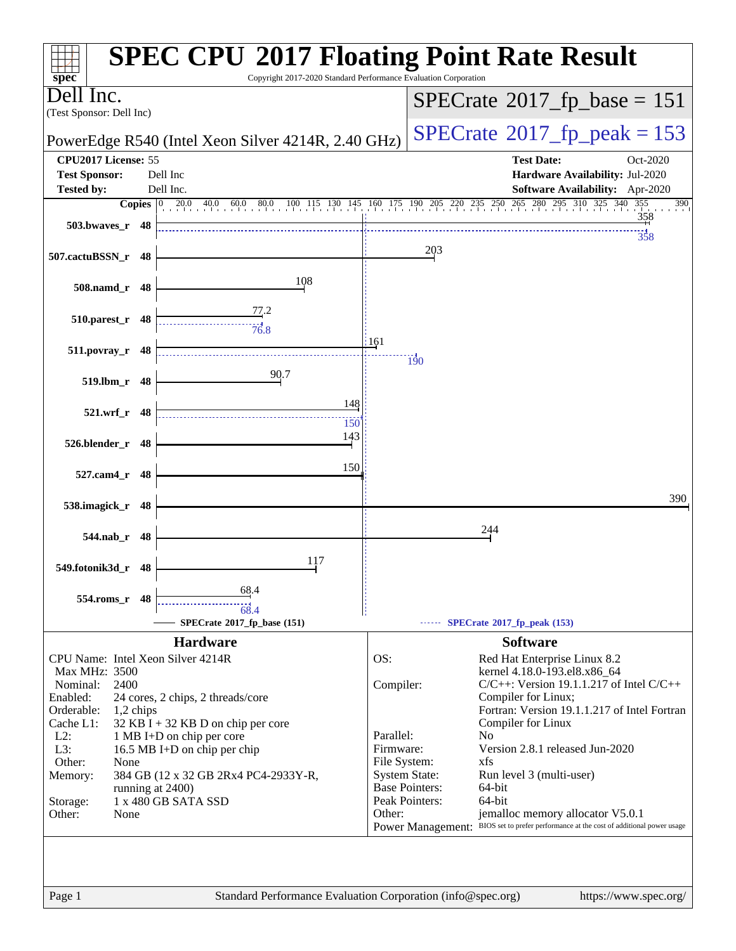|                                                    |             | Copyright 2017-2020 Standard Performance Evaluation Corporation |           | <b>SPEC CPU®2017 Floating Point Rate Result</b>                                                                                                       |
|----------------------------------------------------|-------------|-----------------------------------------------------------------|-----------|-------------------------------------------------------------------------------------------------------------------------------------------------------|
| $spec^*$<br>l Inc.                                 |             |                                                                 |           |                                                                                                                                                       |
| (Test Sponsor: Dell Inc)                           |             |                                                                 |           | $SPECrate$ <sup>®</sup> 2017_fp_base = 151                                                                                                            |
|                                                    |             | PowerEdge R540 (Intel Xeon Silver 4214R, 2.40 GHz)              |           | $SPECTate@2017fr peak = 153$                                                                                                                          |
| CPU2017 License: 55                                |             |                                                                 |           | <b>Test Date:</b><br>Oct-2020                                                                                                                         |
| <b>Test Sponsor:</b>                               |             | Dell Inc                                                        |           | Hardware Availability: Jul-2020                                                                                                                       |
| <b>Tested by:</b>                                  |             | Dell Inc.                                                       |           | Software Availability: Apr-2020<br><b>Copies</b> 0 20.0 40.0 60.0 80.0 100 115 130 145 160 175 190 205 220 235 250 265 280 295 310 325 340 355<br>390 |
| 503.bwayes r 48                                    |             |                                                                 |           | 358                                                                                                                                                   |
|                                                    |             |                                                                 |           | 358                                                                                                                                                   |
| 507.cactuBSSN_r 48                                 |             |                                                                 |           | 203                                                                                                                                                   |
|                                                    |             | 108                                                             |           |                                                                                                                                                       |
| 508.namd_r 48                                      |             |                                                                 |           |                                                                                                                                                       |
| 510.parest_r 48                                    |             | 77.2                                                            |           |                                                                                                                                                       |
|                                                    |             | 76.8                                                            | 161       |                                                                                                                                                       |
| 511.povray_r 48                                    |             |                                                                 |           | $\overline{190}$                                                                                                                                      |
| 519.lbm_r 48                                       |             | 90.7                                                            |           |                                                                                                                                                       |
|                                                    |             |                                                                 |           |                                                                                                                                                       |
| 521.wrf_r 48                                       |             | 148                                                             |           |                                                                                                                                                       |
|                                                    |             | 150<br>143                                                      |           |                                                                                                                                                       |
| 526.blender_r 48                                   |             |                                                                 |           |                                                                                                                                                       |
| 527.cam4 r 48                                      |             | 150                                                             |           |                                                                                                                                                       |
|                                                    |             |                                                                 |           |                                                                                                                                                       |
| 538.imagick_r 48                                   |             |                                                                 |           | 390                                                                                                                                                   |
|                                                    |             |                                                                 |           | 244                                                                                                                                                   |
| 544.nab_r 48                                       |             |                                                                 |           |                                                                                                                                                       |
| 549.fotonik3d_r 48                                 |             | 117                                                             |           |                                                                                                                                                       |
|                                                    |             | 68.4                                                            |           |                                                                                                                                                       |
| 554.roms_r 48                                      |             |                                                                 |           |                                                                                                                                                       |
|                                                    |             | SPECrate*2017_fp_base (151)                                     |           | $\cdots$ SPECrate®2017_fp_peak (153)                                                                                                                  |
|                                                    |             | <b>Hardware</b>                                                 |           | <b>Software</b>                                                                                                                                       |
| CPU Name: Intel Xeon Silver 4214R<br>Max MHz: 3500 |             |                                                                 | OS:       | Red Hat Enterprise Linux 8.2                                                                                                                          |
| Nominal:<br>2400                                   |             |                                                                 | Compiler: | kernel 4.18.0-193.el8.x86_64<br>$C/C++$ : Version 19.1.1.217 of Intel $C/C++$                                                                         |
| Enabled:                                           |             | 24 cores, 2 chips, 2 threads/core                               |           | Compiler for Linux;                                                                                                                                   |
| Orderable:<br>Cache L1:                            | $1,2$ chips | 32 KB I + 32 KB D on chip per core                              |           | Fortran: Version 19.1.1.217 of Intel Fortran<br>Compiler for Linux                                                                                    |
| $L2$ :                                             |             | 1 MB I+D on chip per core                                       | Parallel: | N <sub>o</sub>                                                                                                                                        |
| L3:                                                |             | 16.5 MB I+D on chip per chip                                    | Firmware: | Version 2.8.1 released Jun-2020<br>xfs                                                                                                                |
| Other:<br>None<br>Memory:                          |             | 384 GB (12 x 32 GB 2Rx4 PC4-2933Y-R,                            |           | File System:<br><b>System State:</b><br>Run level 3 (multi-user)                                                                                      |
|                                                    |             | running at 2400)                                                |           | <b>Base Pointers:</b><br>64-bit                                                                                                                       |
| Storage:<br>Other:<br>None                         |             | 1 x 480 GB SATA SSD                                             | Other:    | Peak Pointers:<br>64-bit<br>jemalloc memory allocator V5.0.1                                                                                          |
|                                                    |             |                                                                 |           | BIOS set to prefer performance at the cost of additional power usage<br><b>Power Management:</b>                                                      |
|                                                    |             |                                                                 |           |                                                                                                                                                       |
|                                                    |             |                                                                 |           |                                                                                                                                                       |
|                                                    |             |                                                                 |           |                                                                                                                                                       |
| Page 1                                             |             | Standard Performance Evaluation Corporation (info@spec.org)     |           | https://www.spec.org/                                                                                                                                 |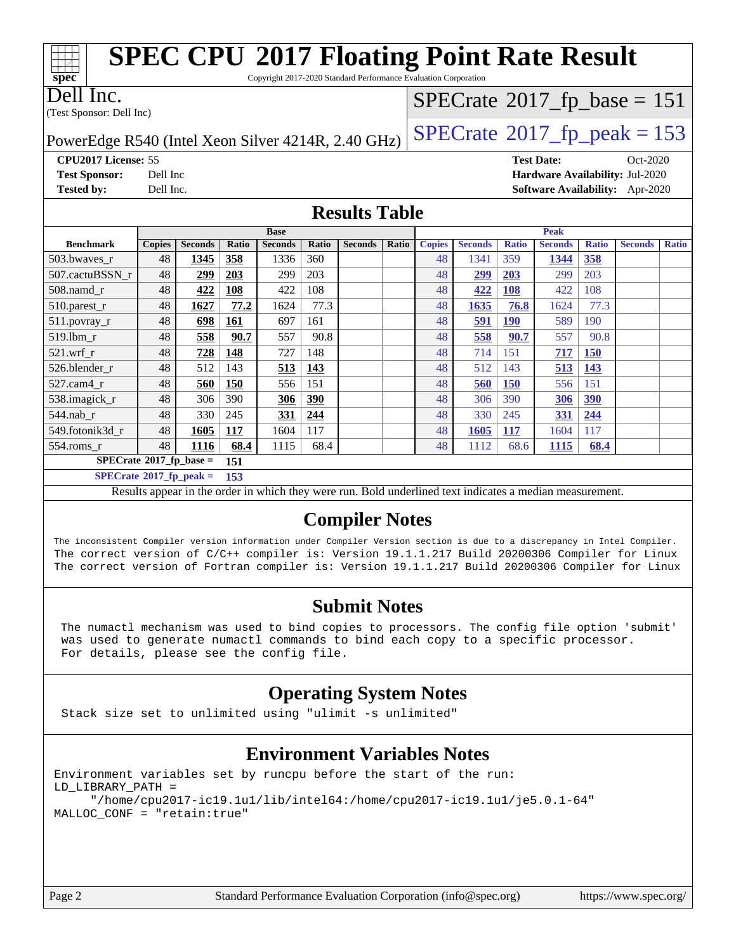| <b>SPEC CPU®2017 Floating Point Rate Result</b><br>Copyright 2017-2020 Standard Performance Evaluation Corporation<br>spec <sup>®</sup> |                      |                        |              |                        |              |                |       |                     |                        |                     |                        |                     |                                            |              |
|-----------------------------------------------------------------------------------------------------------------------------------------|----------------------|------------------------|--------------|------------------------|--------------|----------------|-------|---------------------|------------------------|---------------------|------------------------|---------------------|--------------------------------------------|--------------|
| Dell Inc.                                                                                                                               |                      |                        |              |                        |              |                |       |                     |                        |                     |                        |                     | $SPECrate$ <sup>®</sup> 2017_fp_base = 151 |              |
| (Test Sponsor: Dell Inc)                                                                                                                |                      |                        |              |                        |              |                |       |                     |                        |                     |                        |                     |                                            |              |
| $SPECTate@2017_fp\_peak = 153$<br>PowerEdge R540 (Intel Xeon Silver 4214R, 2.40 GHz)                                                    |                      |                        |              |                        |              |                |       |                     |                        |                     |                        |                     |                                            |              |
| CPU2017 License: 55                                                                                                                     |                      |                        |              |                        |              |                |       |                     |                        |                     | <b>Test Date:</b>      |                     | Oct-2020                                   |              |
| <b>Test Sponsor:</b>                                                                                                                    | Dell Inc             |                        |              |                        |              |                |       |                     |                        |                     |                        |                     | Hardware Availability: Jul-2020            |              |
| <b>Tested by:</b>                                                                                                                       | Dell Inc.            |                        |              |                        |              |                |       |                     |                        |                     |                        |                     | Software Availability: Apr-2020            |              |
|                                                                                                                                         | <b>Results Table</b> |                        |              |                        |              |                |       |                     |                        |                     |                        |                     |                                            |              |
| <b>Benchmark</b>                                                                                                                        |                      |                        |              | <b>Base</b>            |              |                |       |                     |                        |                     | Peak                   |                     |                                            |              |
| 503.bwaves_r                                                                                                                            | <b>Copies</b><br>48  | <b>Seconds</b><br>1345 | Ratio<br>358 | <b>Seconds</b><br>1336 | Ratio<br>360 | <b>Seconds</b> | Ratio | <b>Copies</b><br>48 | <b>Seconds</b><br>1341 | <b>Ratio</b><br>359 | <b>Seconds</b><br>1344 | <b>Ratio</b><br>358 | <b>Seconds</b>                             | <b>Ratio</b> |
| 507.cactuBSSN r                                                                                                                         | 48                   | 299                    | 203          | 299                    | 203          |                |       | 48                  | 299                    | <b>203</b>          | 299                    | 203                 |                                            |              |
| 508.namd r                                                                                                                              | 48                   | 422                    | 108          | 422                    | 108          |                |       | 48                  | 422                    | <b>108</b>          | 422                    | 108                 |                                            |              |
| $510.parest_r$                                                                                                                          | 48                   | 1627                   | 77.2         | 1624                   | 77.3         |                |       | 48                  | 1635                   | 76.8                | 1624                   | 77.3                |                                            |              |
| 511.povray_r                                                                                                                            | 48                   | 698                    | 161          | 697                    | 161          |                |       | 48                  | 591                    | <b>190</b>          | 589                    | 190                 |                                            |              |
| 519.lbm r                                                                                                                               | 48                   | 558                    | 90.7         | 557                    | 90.8         |                |       | 48                  | 558                    | 90.7                | 557                    | 90.8                |                                            |              |
| 521.wrf r                                                                                                                               | 48                   | 728                    | 148          | 727                    | 148          |                |       | 48                  | 714                    | 151                 | 717                    | 150                 |                                            |              |
| 526.blender r                                                                                                                           | 48                   | 512                    | 143          | 513                    | 143          |                |       | 48                  | 512                    | 143                 | 513                    | 143                 |                                            |              |
| 527.cam4 r                                                                                                                              | 48                   | 560                    | 150          | 556                    | 151          |                |       | 48                  | 560                    | <b>150</b>          | 556                    | 151                 |                                            |              |
| 538.imagick_r                                                                                                                           | 48                   | 306                    | 390          | 306                    | 390          |                |       | 48                  | 306                    | 390                 | 306                    | 390                 |                                            |              |
| 544.nab r                                                                                                                               | 48                   | 330                    | 245          | 331                    | 244          |                |       | 48                  | 330                    | 245                 | 331                    | 244                 |                                            |              |
| 549.fotonik3d r                                                                                                                         | 48                   | 1605                   | 117          | 1604                   | 117          |                |       | 48                  | 1605                   | <b>117</b>          | 1604                   | 117                 |                                            |              |
| $554$ .roms r                                                                                                                           | 48                   | 1116                   | 68.4         | 1115                   | 68.4         |                |       | 48                  | 1112                   | 68.6                | 1115                   | 68.4                |                                            |              |
| $SPECrate^*2017_fp\_base =$                                                                                                             |                      |                        | 151          |                        |              |                |       |                     |                        |                     |                        |                     |                                            |              |

**[SPECrate](http://www.spec.org/auto/cpu2017/Docs/result-fields.html#SPECrate2017fppeak)[2017\\_fp\\_peak =](http://www.spec.org/auto/cpu2017/Docs/result-fields.html#SPECrate2017fppeak) 153**

Results appear in the [order in which they were run.](http://www.spec.org/auto/cpu2017/Docs/result-fields.html#RunOrder) Bold underlined text [indicates a median measurement.](http://www.spec.org/auto/cpu2017/Docs/result-fields.html#Median)

#### **[Compiler Notes](http://www.spec.org/auto/cpu2017/Docs/result-fields.html#CompilerNotes)**

The inconsistent Compiler version information under Compiler Version section is due to a discrepancy in Intel Compiler. The correct version of C/C++ compiler is: Version 19.1.1.217 Build 20200306 Compiler for Linux The correct version of Fortran compiler is: Version 19.1.1.217 Build 20200306 Compiler for Linux

#### **[Submit Notes](http://www.spec.org/auto/cpu2017/Docs/result-fields.html#SubmitNotes)**

 The numactl mechanism was used to bind copies to processors. The config file option 'submit' was used to generate numactl commands to bind each copy to a specific processor. For details, please see the config file.

### **[Operating System Notes](http://www.spec.org/auto/cpu2017/Docs/result-fields.html#OperatingSystemNotes)**

Stack size set to unlimited using "ulimit -s unlimited"

#### **[Environment Variables Notes](http://www.spec.org/auto/cpu2017/Docs/result-fields.html#EnvironmentVariablesNotes)**

Environment variables set by runcpu before the start of the run: LD\_LIBRARY\_PATH = "/home/cpu2017-ic19.1u1/lib/intel64:/home/cpu2017-ic19.1u1/je5.0.1-64" MALLOC\_CONF = "retain:true"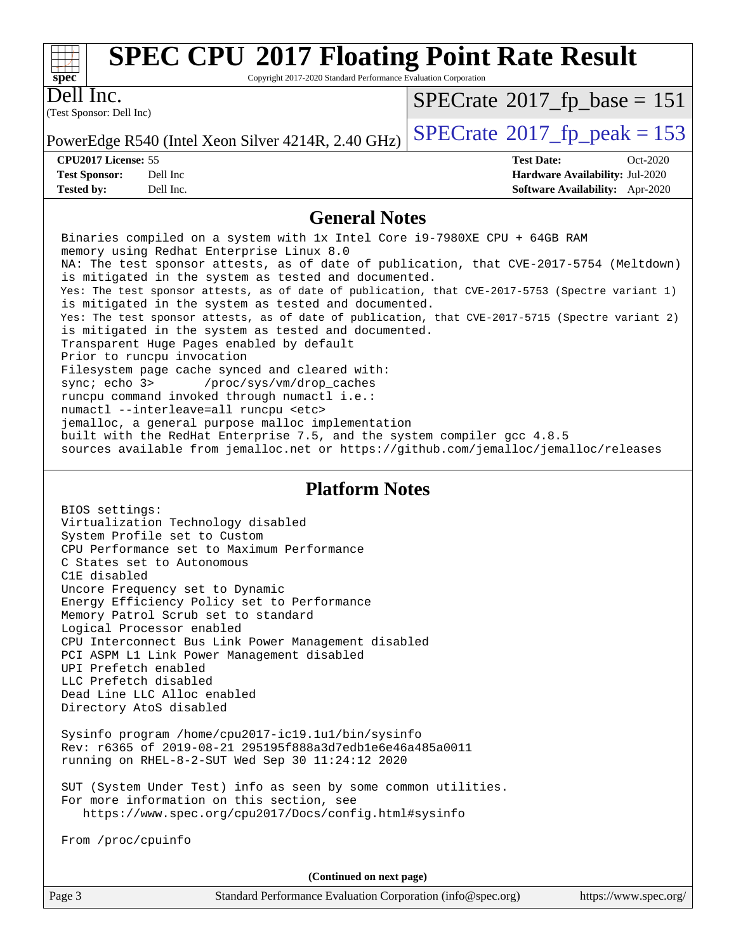

# **[SPEC CPU](http://www.spec.org/auto/cpu2017/Docs/result-fields.html#SPECCPU2017FloatingPointRateResult)[2017 Floating Point Rate Result](http://www.spec.org/auto/cpu2017/Docs/result-fields.html#SPECCPU2017FloatingPointRateResult)**

Copyright 2017-2020 Standard Performance Evaluation Corporation

(Test Sponsor: Dell Inc) Dell Inc.

 $SPECTate@2017_fp\_base = 151$ 

**[Tested by:](http://www.spec.org/auto/cpu2017/Docs/result-fields.html#Testedby)** Dell Inc. **[Software Availability:](http://www.spec.org/auto/cpu2017/Docs/result-fields.html#SoftwareAvailability)** Apr-2020

PowerEdge R540 (Intel Xeon Silver 4214R, 2.40 GHz)  $\left|$  [SPECrate](http://www.spec.org/auto/cpu2017/Docs/result-fields.html#SPECrate2017fppeak)<sup>®</sup>[2017\\_fp\\_peak = 1](http://www.spec.org/auto/cpu2017/Docs/result-fields.html#SPECrate2017fppeak)53

**[CPU2017 License:](http://www.spec.org/auto/cpu2017/Docs/result-fields.html#CPU2017License)** 55 **[Test Date:](http://www.spec.org/auto/cpu2017/Docs/result-fields.html#TestDate)** Oct-2020 **[Test Sponsor:](http://www.spec.org/auto/cpu2017/Docs/result-fields.html#TestSponsor)** Dell Inc **[Hardware Availability:](http://www.spec.org/auto/cpu2017/Docs/result-fields.html#HardwareAvailability)** Jul-2020

#### **[General Notes](http://www.spec.org/auto/cpu2017/Docs/result-fields.html#GeneralNotes)**

 Binaries compiled on a system with 1x Intel Core i9-7980XE CPU + 64GB RAM memory using Redhat Enterprise Linux 8.0 NA: The test sponsor attests, as of date of publication, that CVE-2017-5754 (Meltdown) is mitigated in the system as tested and documented. Yes: The test sponsor attests, as of date of publication, that CVE-2017-5753 (Spectre variant 1) is mitigated in the system as tested and documented. Yes: The test sponsor attests, as of date of publication, that CVE-2017-5715 (Spectre variant 2) is mitigated in the system as tested and documented. Transparent Huge Pages enabled by default Prior to runcpu invocation Filesystem page cache synced and cleared with: sync; echo 3> /proc/sys/vm/drop\_caches runcpu command invoked through numactl i.e.: numactl --interleave=all runcpu <etc> jemalloc, a general purpose malloc implementation built with the RedHat Enterprise 7.5, and the system compiler gcc 4.8.5 sources available from jemalloc.net or<https://github.com/jemalloc/jemalloc/releases>

#### **[Platform Notes](http://www.spec.org/auto/cpu2017/Docs/result-fields.html#PlatformNotes)**

 BIOS settings: Virtualization Technology disabled System Profile set to Custom CPU Performance set to Maximum Performance C States set to Autonomous C1E disabled Uncore Frequency set to Dynamic Energy Efficiency Policy set to Performance Memory Patrol Scrub set to standard Logical Processor enabled CPU Interconnect Bus Link Power Management disabled PCI ASPM L1 Link Power Management disabled UPI Prefetch enabled LLC Prefetch disabled Dead Line LLC Alloc enabled Directory AtoS disabled

 Sysinfo program /home/cpu2017-ic19.1u1/bin/sysinfo Rev: r6365 of 2019-08-21 295195f888a3d7edb1e6e46a485a0011 running on RHEL-8-2-SUT Wed Sep 30 11:24:12 2020

 SUT (System Under Test) info as seen by some common utilities. For more information on this section, see <https://www.spec.org/cpu2017/Docs/config.html#sysinfo>

From /proc/cpuinfo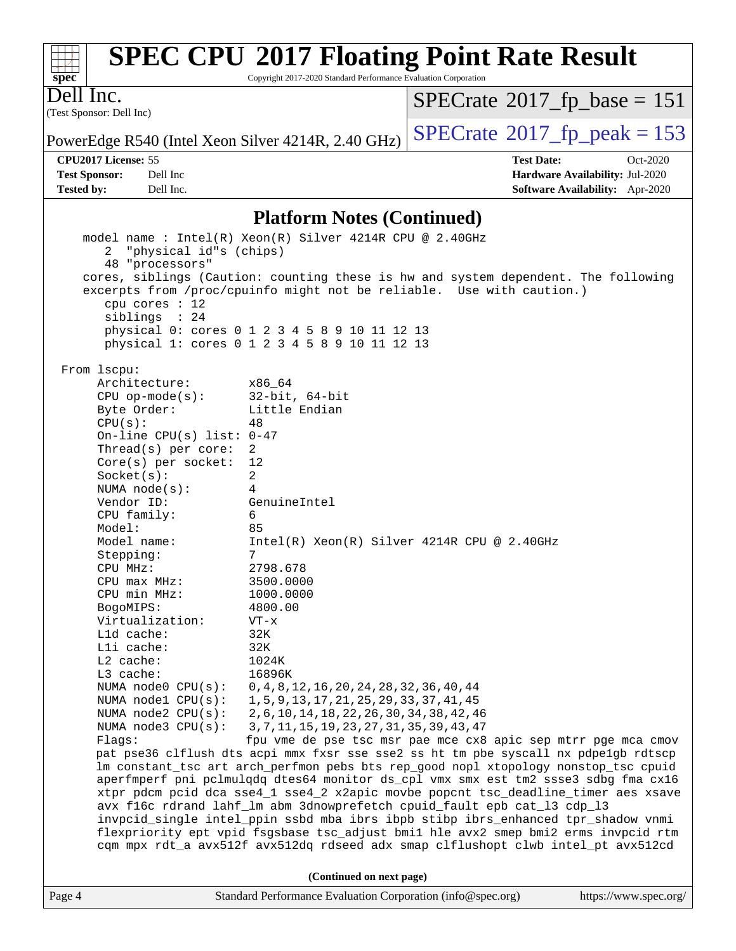| $spec*$                               | <b>SPEC CPU®2017 Floating Point Rate Result</b><br>Copyright 2017-2020 Standard Performance Evaluation Corporation |                                              |                                        |
|---------------------------------------|--------------------------------------------------------------------------------------------------------------------|----------------------------------------------|----------------------------------------|
| Dell Inc.<br>(Test Sponsor: Dell Inc) |                                                                                                                    | $SPECrate^{\circledast}2017$ _fp_base = 151  |                                        |
|                                       | PowerEdge R540 (Intel Xeon Silver 4214R, 2.40 GHz)                                                                 | $SPECrate^{\circledcirc}2017$ _fp_peak = 153 |                                        |
| <b>CPU2017 License: 55</b>            |                                                                                                                    | <b>Test Date:</b>                            | $Oct-2020$                             |
| <b>Test Sponsor:</b>                  | Dell Inc                                                                                                           |                                              | Hardware Availability: Jul-2020        |
| <b>Tested by:</b>                     | Dell Inc.                                                                                                          |                                              | <b>Software Availability:</b> Apr-2020 |
|                                       | $\mathbf{D}_{\mathbf{z}}(t_1,\ldots,t_n)$                                                                          |                                              |                                        |

#### **[Platform Notes \(Continued\)](http://www.spec.org/auto/cpu2017/Docs/result-fields.html#PlatformNotes)**

|        | 2 "physical id"s (chips)    | model name: $Intel(R)$ Xeon(R) Silver 4214R CPU @ 2.40GHz                            |
|--------|-----------------------------|--------------------------------------------------------------------------------------|
|        | 48 "processors"             |                                                                                      |
|        |                             | cores, siblings (Caution: counting these is hw and system dependent. The following   |
|        |                             | excerpts from /proc/cpuinfo might not be reliable. Use with caution.)                |
|        |                             |                                                                                      |
|        | cpu cores $: 12$            |                                                                                      |
|        | siblings : 24               |                                                                                      |
|        |                             | physical 0: cores 0 1 2 3 4 5 8 9 10 11 12 13                                        |
|        |                             | physical 1: cores 0 1 2 3 4 5 8 9 10 11 12 13                                        |
|        |                             |                                                                                      |
|        | From 1scpu:                 |                                                                                      |
|        | Architecture:               | x86_64                                                                               |
|        | $CPU$ op-mode(s):           | $32$ -bit, $64$ -bit                                                                 |
|        | Byte Order:                 | Little Endian                                                                        |
|        | CPU(s):                     | 48                                                                                   |
|        | On-line CPU(s) list: $0-47$ |                                                                                      |
|        | Thread( $s$ ) per core:     | 2                                                                                    |
|        | $Core(s)$ per socket:       | 12                                                                                   |
|        | Socket(s):                  | $\overline{2}$                                                                       |
|        | NUMA node(s):               | 4                                                                                    |
|        | Vendor ID:                  | GenuineIntel                                                                         |
|        | CPU family:                 | 6                                                                                    |
|        | Model:                      | 85                                                                                   |
|        | Model name:                 | $Intel(R) Xeon(R) Silver 4214R CPU @ 2.40GHz$                                        |
|        | Stepping:                   | 7                                                                                    |
|        |                             |                                                                                      |
|        | CPU MHz:                    | 2798.678                                                                             |
|        | CPU max MHz:                | 3500.0000                                                                            |
|        | CPU min MHz:                | 1000.0000                                                                            |
|        | BogoMIPS:                   | 4800.00                                                                              |
|        | Virtualization:             | $VT - x$                                                                             |
|        | L1d cache:                  | 32K                                                                                  |
|        | Lli cache:                  | 32K                                                                                  |
|        | $L2$ cache:                 | 1024K                                                                                |
|        | L3 cache:                   | 16896K                                                                               |
|        | NUMA $node0$ $CPU(s):$      | 0, 4, 8, 12, 16, 20, 24, 28, 32, 36, 40, 44                                          |
|        | NUMA $node1$ $CPU(s):$      | 1, 5, 9, 13, 17, 21, 25, 29, 33, 37, 41, 45                                          |
|        | NUMA node2 CPU(s):          | 2,6,10,14,18,22,26,30,34,38,42,46                                                    |
|        | NUMA $node3$ $CPU(s)$ :     | 3, 7, 11, 15, 19, 23, 27, 31, 35, 39, 43, 47                                         |
|        | Flaqs:                      | fpu vme de pse tsc msr pae mce cx8 apic sep mtrr pge mca cmov                        |
|        |                             | pat pse36 clflush dts acpi mmx fxsr sse sse2 ss ht tm pbe syscall nx pdpe1gb rdtscp  |
|        |                             | lm constant_tsc art arch_perfmon pebs bts rep_good nopl xtopology nonstop_tsc cpuid  |
|        |                             | aperfmperf pni pclmulqdq dtes64 monitor ds_cpl vmx smx est tm2 ssse3 sdbg fma cx16   |
|        |                             | xtpr pdcm pcid dca sse4_1 sse4_2 x2apic movbe popcnt tsc_deadline_timer aes xsave    |
|        |                             | avx f16c rdrand lahf_lm abm 3dnowprefetch cpuid_fault epb cat_13 cdp_13              |
|        |                             | invpcid_single intel_ppin ssbd mba ibrs ibpb stibp ibrs_enhanced tpr_shadow vnmi     |
|        |                             | flexpriority ept vpid fsgsbase tsc_adjust bmil hle avx2 smep bmi2 erms invpcid rtm   |
|        |                             | cqm mpx rdt_a avx512f avx512dq rdseed adx smap clflushopt clwb intel_pt avx512cd     |
|        |                             | (Continued on next page)                                                             |
| Page 4 |                             | Standard Performance Evaluation Corporation (info@spec.org)<br>https://www.spec.org/ |
|        |                             |                                                                                      |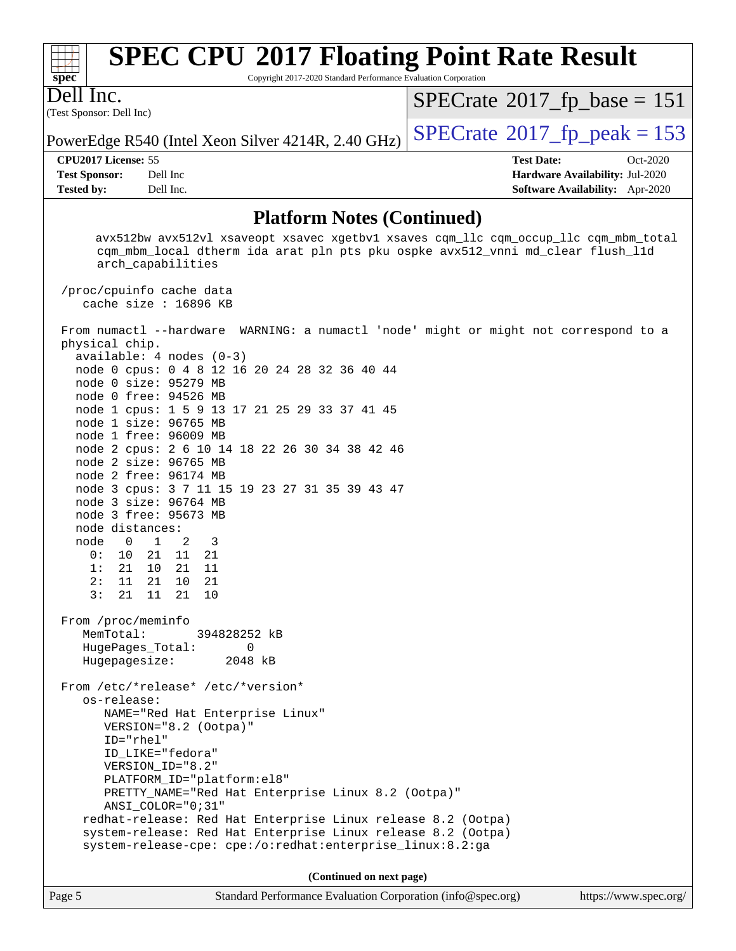| $spec*$           |                          | <b>SPEC CPU®2017 Floating Point Rate Result</b><br>Copyright 2017-2020 Standard Performance Evaluation Corporation |                   |                                             |
|-------------------|--------------------------|--------------------------------------------------------------------------------------------------------------------|-------------------|---------------------------------------------|
| Dell Inc.         | (Test Sponsor: Dell Inc) |                                                                                                                    |                   | $SPECrate^{\circ}2017$ fp base = 151        |
|                   |                          | PowerEdge R540 (Intel Xeon Silver 4214R, 2.40 GHz)                                                                 |                   | $SPECrate^{\circledcirc}2017$ fp peak = 153 |
|                   | CPU2017 License: 55      |                                                                                                                    | <b>Test Date:</b> | $Oct-2020$                                  |
|                   | <b>Test Sponsor:</b>     | Dell Inc.                                                                                                          |                   | Hardware Availability: Jul-2020             |
| <b>Tested by:</b> |                          | Dell Inc.                                                                                                          |                   | <b>Software Availability:</b> Apr-2020      |

#### **[Platform Notes \(Continued\)](http://www.spec.org/auto/cpu2017/Docs/result-fields.html#PlatformNotes)**

 avx512bw avx512vl xsaveopt xsavec xgetbv1 xsaves cqm\_llc cqm\_occup\_llc cqm\_mbm\_total cqm\_mbm\_local dtherm ida arat pln pts pku ospke avx512\_vnni md\_clear flush\_l1d arch\_capabilities /proc/cpuinfo cache data cache size : 16896 KB From numactl --hardware WARNING: a numactl 'node' might or might not correspond to a physical chip. available: 4 nodes (0-3) node 0 cpus: 0 4 8 12 16 20 24 28 32 36 40 44 node 0 size: 95279 MB node 0 free: 94526 MB node 1 cpus: 1 5 9 13 17 21 25 29 33 37 41 45 node 1 size: 96765 MB node 1 free: 96009 MB node 2 cpus: 2 6 10 14 18 22 26 30 34 38 42 46 node 2 size: 96765 MB node 2 free: 96174 MB node 3 cpus: 3 7 11 15 19 23 27 31 35 39 43 47 node 3 size: 96764 MB node 3 free: 95673 MB node distances: node 0 1 2 3 0: 10 21 11 21 1: 21 10 21 11 2: 11 21 10 21 3: 21 11 21 10 From /proc/meminfo MemTotal: 394828252 kB HugePages\_Total: 0 Hugepagesize: 2048 kB From /etc/\*release\* /etc/\*version\* os-release: NAME="Red Hat Enterprise Linux" VERSION="8.2 (Ootpa)" ID="rhel" ID\_LIKE="fedora" VERSION\_ID="8.2" PLATFORM\_ID="platform:el8" PRETTY\_NAME="Red Hat Enterprise Linux 8.2 (Ootpa)" ANSI\_COLOR="0;31" redhat-release: Red Hat Enterprise Linux release 8.2 (Ootpa) system-release: Red Hat Enterprise Linux release 8.2 (Ootpa) system-release-cpe: cpe:/o:redhat:enterprise\_linux:8.2:ga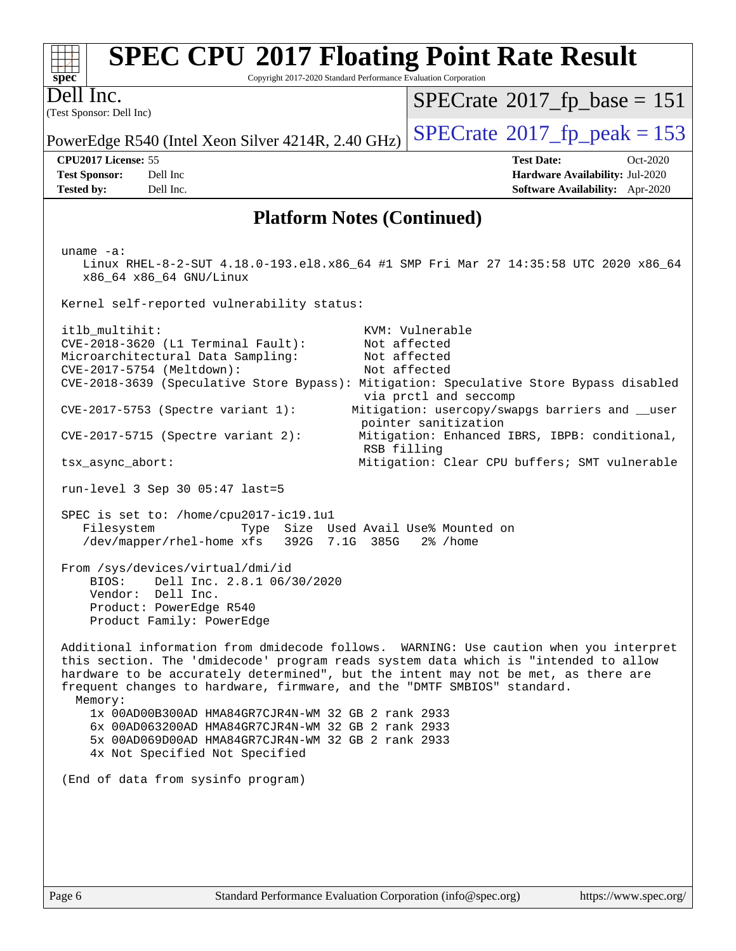| <b>SPEC CPU®2017 Floating Point Rate Result</b><br>Copyright 2017-2020 Standard Performance Evaluation Corporation<br>$spec^*$                                                                                                                                                                                                                            |                                                                                          |  |  |
|-----------------------------------------------------------------------------------------------------------------------------------------------------------------------------------------------------------------------------------------------------------------------------------------------------------------------------------------------------------|------------------------------------------------------------------------------------------|--|--|
| Dell Inc.                                                                                                                                                                                                                                                                                                                                                 | $SPECrate^{\circ}2017$ _fp_base = 151                                                    |  |  |
| (Test Sponsor: Dell Inc)                                                                                                                                                                                                                                                                                                                                  | $SPECTate$ <sup>®</sup> 2017_fp_peak = 153                                               |  |  |
| PowerEdge R540 (Intel Xeon Silver 4214R, 2.40 GHz)<br>CPU2017 License: 55                                                                                                                                                                                                                                                                                 | <b>Test Date:</b><br>Oct-2020                                                            |  |  |
| <b>Test Sponsor:</b><br>Dell Inc<br><b>Tested by:</b><br>Dell Inc.                                                                                                                                                                                                                                                                                        | Hardware Availability: Jul-2020<br>Software Availability: Apr-2020                       |  |  |
| <b>Platform Notes (Continued)</b>                                                                                                                                                                                                                                                                                                                         |                                                                                          |  |  |
|                                                                                                                                                                                                                                                                                                                                                           |                                                                                          |  |  |
| uname $-a$ :<br>Linux RHEL-8-2-SUT 4.18.0-193.el8.x86_64 #1 SMP Fri Mar 27 14:35:58 UTC 2020 x86_64<br>x86_64 x86_64 GNU/Linux                                                                                                                                                                                                                            |                                                                                          |  |  |
| Kernel self-reported vulnerability status:                                                                                                                                                                                                                                                                                                                |                                                                                          |  |  |
| itlb_multihit:<br>CVE-2018-3620 (L1 Terminal Fault):<br>Microarchitectural Data Sampling:<br>CVE-2017-5754 (Meltdown):<br>CVE-2018-3639 (Speculative Store Bypass): Mitigation: Speculative Store Bypass disabled                                                                                                                                         | KVM: Vulnerable<br>Not affected<br>Not affected<br>Not affected<br>via prctl and seccomp |  |  |
| CVE-2017-5753 (Spectre variant 1):<br>Mitigation: usercopy/swapgs barriers and __user<br>pointer sanitization                                                                                                                                                                                                                                             |                                                                                          |  |  |
| $CVE-2017-5715$ (Spectre variant 2):                                                                                                                                                                                                                                                                                                                      | Mitigation: Enhanced IBRS, IBPB: conditional,<br>RSB filling                             |  |  |
| tsx_async_abort:                                                                                                                                                                                                                                                                                                                                          | Mitigation: Clear CPU buffers; SMT vulnerable                                            |  |  |
| run-level 3 Sep 30 05:47 last=5                                                                                                                                                                                                                                                                                                                           |                                                                                          |  |  |
| SPEC is set to: /home/cpu2017-ic19.1u1<br>Filesystem<br>Type<br>/dev/mapper/rhel-home xfs<br>392G 7.1G 385G                                                                                                                                                                                                                                               | Size Used Avail Use% Mounted on<br>$2\%$ /home                                           |  |  |
| From /sys/devices/virtual/dmi/id<br>BIOS: Dell Inc. 2.8.1 06/30/2020<br>Vendor: Dell Inc.<br>Product: PowerEdge R540<br>Product Family: PowerEdge                                                                                                                                                                                                         |                                                                                          |  |  |
| Additional information from dmidecode follows. WARNING: Use caution when you interpret<br>this section. The 'dmidecode' program reads system data which is "intended to allow<br>hardware to be accurately determined", but the intent may not be met, as there are<br>frequent changes to hardware, firmware, and the "DMTF SMBIOS" standard.<br>Memory: |                                                                                          |  |  |
| 1x 00AD00B300AD HMA84GR7CJR4N-WM 32 GB 2 rank 2933<br>6x 00AD063200AD HMA84GR7CJR4N-WM 32 GB 2 rank 2933<br>5x 00AD069D00AD HMA84GR7CJR4N-WM 32 GB 2 rank 2933<br>4x Not Specified Not Specified                                                                                                                                                          |                                                                                          |  |  |
| (End of data from sysinfo program)                                                                                                                                                                                                                                                                                                                        |                                                                                          |  |  |
|                                                                                                                                                                                                                                                                                                                                                           |                                                                                          |  |  |
|                                                                                                                                                                                                                                                                                                                                                           |                                                                                          |  |  |
|                                                                                                                                                                                                                                                                                                                                                           |                                                                                          |  |  |
|                                                                                                                                                                                                                                                                                                                                                           |                                                                                          |  |  |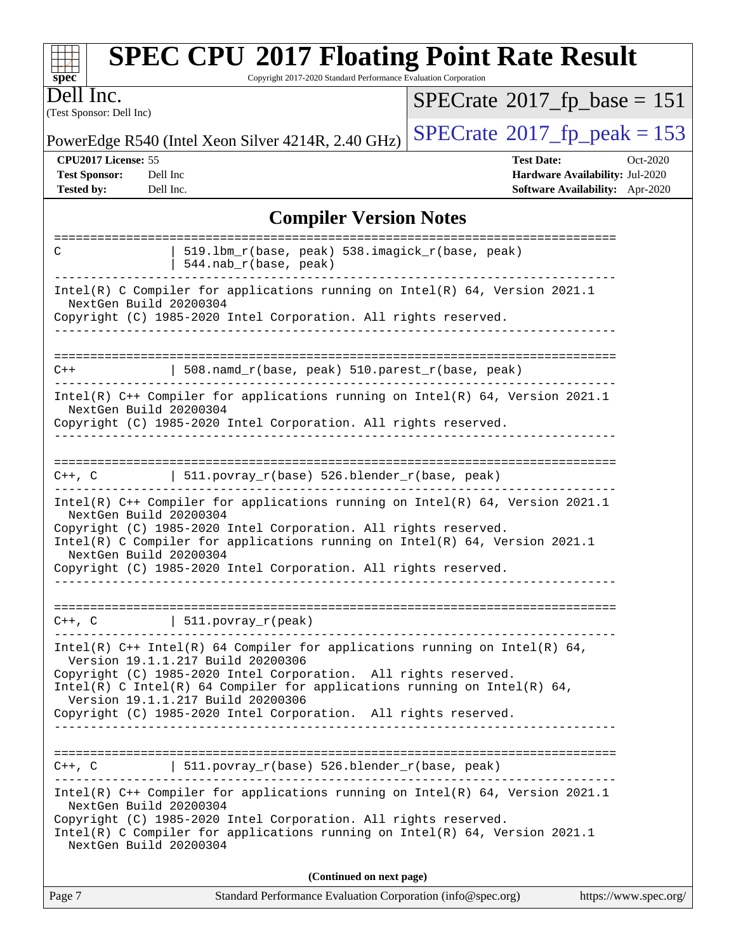| $spec^*$                                                         | <b>SPEC CPU®2017 Floating Point Rate Result</b><br>Copyright 2017-2020 Standard Performance Evaluation Corporation                                                                                                                                                                                                                                                       |                                                                                                     |
|------------------------------------------------------------------|--------------------------------------------------------------------------------------------------------------------------------------------------------------------------------------------------------------------------------------------------------------------------------------------------------------------------------------------------------------------------|-----------------------------------------------------------------------------------------------------|
| Dell Inc.<br>(Test Sponsor: Dell Inc)                            |                                                                                                                                                                                                                                                                                                                                                                          | $SPECrate^{\circ}2017$ fp base = 151                                                                |
|                                                                  | PowerEdge R540 (Intel Xeon Silver 4214R, 2.40 GHz)                                                                                                                                                                                                                                                                                                                       | $SPECTate@2017_fp\_peak = 153$                                                                      |
| CPU2017 License: 55<br><b>Test Sponsor:</b><br><b>Tested by:</b> | Dell Inc<br>Dell Inc.<br><b>Compiler Version Notes</b>                                                                                                                                                                                                                                                                                                                   | <b>Test Date:</b><br>Oct-2020<br>Hardware Availability: Jul-2020<br>Software Availability: Apr-2020 |
|                                                                  |                                                                                                                                                                                                                                                                                                                                                                          |                                                                                                     |
| C                                                                | 519.1bm_r(base, peak) 538.imagick_r(base, peak)<br>544.nab_r(base, peak)                                                                                                                                                                                                                                                                                                 |                                                                                                     |
| NextGen Build 20200304                                           | Intel(R) C Compiler for applications running on Intel(R) 64, Version 2021.1<br>Copyright (C) 1985-2020 Intel Corporation. All rights reserved.                                                                                                                                                                                                                           |                                                                                                     |
| $C++$                                                            | 508.namd_r(base, peak) 510.parest_r(base, peak)                                                                                                                                                                                                                                                                                                                          |                                                                                                     |
| NextGen Build 20200304                                           | Intel(R) C++ Compiler for applications running on Intel(R) 64, Version 2021.1<br>Copyright (C) 1985-2020 Intel Corporation. All rights reserved.                                                                                                                                                                                                                         |                                                                                                     |
| C++, C                                                           | $511.povray_r(base) 526.blender_r(base, peak)$                                                                                                                                                                                                                                                                                                                           |                                                                                                     |
| NextGen Build 20200304<br>NextGen Build 20200304                 | Intel(R) C++ Compiler for applications running on Intel(R) 64, Version 2021.1<br>Copyright (C) 1985-2020 Intel Corporation. All rights reserved.<br>Intel(R) C Compiler for applications running on Intel(R) 64, Version 2021.1<br>Copyright (C) 1985-2020 Intel Corporation. All rights reserved.                                                                       |                                                                                                     |
|                                                                  | $C++$ , $C$   511.povray_r(peak)                                                                                                                                                                                                                                                                                                                                         |                                                                                                     |
| ___________________                                              | Intel(R) $C++$ Intel(R) 64 Compiler for applications running on Intel(R) 64,<br>Version 19.1.1.217 Build 20200306<br>Copyright (C) 1985-2020 Intel Corporation. All rights reserved.<br>Intel(R) C Intel(R) 64 Compiler for applications running on Intel(R) 64,<br>Version 19.1.1.217 Build 20200306<br>Copyright (C) 1985-2020 Intel Corporation. All rights reserved. |                                                                                                     |
|                                                                  |                                                                                                                                                                                                                                                                                                                                                                          |                                                                                                     |
|                                                                  | $C++$ , C $\qquad$   511.povray_r(base) 526.blender_r(base, peak)                                                                                                                                                                                                                                                                                                        |                                                                                                     |
| NextGen Build 20200304<br>NextGen Build 20200304                 | Intel(R) C++ Compiler for applications running on Intel(R) 64, Version 2021.1<br>Copyright (C) 1985-2020 Intel Corporation. All rights reserved.<br>Intel(R) C Compiler for applications running on Intel(R) 64, Version 2021.1                                                                                                                                          |                                                                                                     |
|                                                                  | (Continued on next page)                                                                                                                                                                                                                                                                                                                                                 |                                                                                                     |

|--|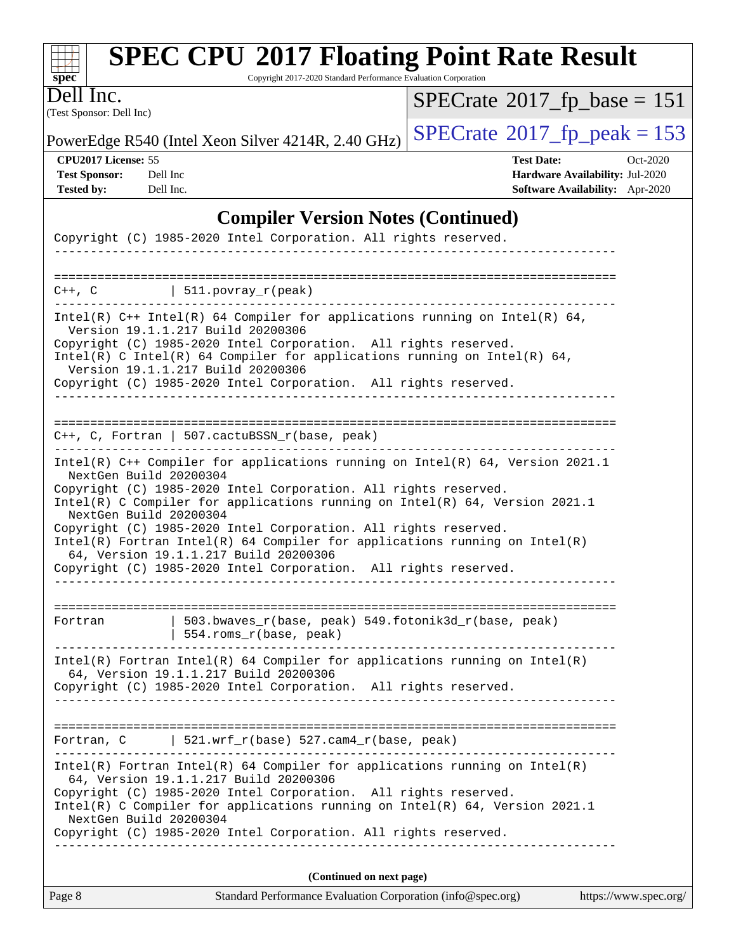| Dell Inc.                                                                                            | Copyright 2017-2020 Standard Performance Evaluation Corporation | $SPECrate^{\circ}2017$ fp base = 151                                             |
|------------------------------------------------------------------------------------------------------|-----------------------------------------------------------------|----------------------------------------------------------------------------------|
| (Test Sponsor: Dell Inc)                                                                             |                                                                 |                                                                                  |
| PowerEdge R540 (Intel Xeon Silver 4214R, 2.40 GHz)                                                   |                                                                 | $SPECTate$ <sup>®</sup> 2017_fp_peak = 153                                       |
| CPU <sub>2017</sub> License: 55                                                                      |                                                                 | <b>Test Date:</b><br>$Oct-2020$                                                  |
| <b>Test Sponsor:</b><br>Dell Inc<br><b>Tested by:</b><br>Dell Inc.                                   |                                                                 | <b>Hardware Availability: Jul-2020</b><br><b>Software Availability:</b> Apr-2020 |
| Copyright (C) 1985-2020 Intel Corporation. All rights reserved.                                      | <b>Compiler Version Notes (Continued)</b>                       |                                                                                  |
|                                                                                                      |                                                                 |                                                                                  |
| $C++$ , $C$                                                                                          | 511. povray $r(\text{peak})$                                    |                                                                                  |
| Version 19.1.1.217 Build 20200306                                                                    |                                                                 | Intel(R) $C++$ Intel(R) 64 Compiler for applications running on Intel(R) 64,     |
| Copyright (C) 1985-2020 Intel Corporation. All rights reserved.<br>Version 19.1.1.217 Build 20200306 |                                                                 | $Intel(R)$ C Intel(R) 64 Compiler for applications running on Intel(R) 64,       |

|         | Copyright (C) 1985-2020 Intel Corporation. All rights reserved.                                                                                                                        |  |
|---------|----------------------------------------------------------------------------------------------------------------------------------------------------------------------------------------|--|
|         |                                                                                                                                                                                        |  |
| Fortran | 503.bwayes $r(base, peak)$ 549.fotonik3d $r(base, peak)$<br>554.roms r(base, peak)                                                                                                     |  |
|         | Intel(R) Fortran Intel(R) 64 Compiler for applications running on Intel(R)<br>64, Version 19.1.1.217 Build 20200306<br>Copyright (C) 1985-2020 Intel Corporation. All rights reserved. |  |

Intel(R) C Compiler for applications running on Intel(R) 64, Version 2021.1

Intel(R) Fortran Intel(R) 64 Compiler for applications running on Intel(R)

|  | Fortran, C   521.wrf_r(base) 527.cam4_r(base, peak) |  |
|--|-----------------------------------------------------|--|
|  |                                                     |  |

Intel(R) Fortran Intel(R) 64 Compiler for applications running on Intel(R) 64, Version 19.1.1.217 Build 20200306 Copyright (C) 1985-2020 Intel Corporation. All rights reserved.

Intel(R) C Compiler for applications running on Intel(R) 64, Version 2021.1 NextGen Build 20200304

Copyright (C) 1985-2020 Intel Corporation. All rights reserved. ------------------------------------------------------------------------------

Copyright (C) 1985-2020 Intel Corporation. All rights reserved.

Copyright (C) 1985-2020 Intel Corporation. All rights reserved.

NextGen Build 20200304

NextGen Build 20200304

64, Version 19.1.1.217 Build 20200306

| Page 8 | Standard Performance Evaluation Corporation (info@spec.org) | https://www.spec.org/ |
|--------|-------------------------------------------------------------|-----------------------|
|        |                                                             |                       |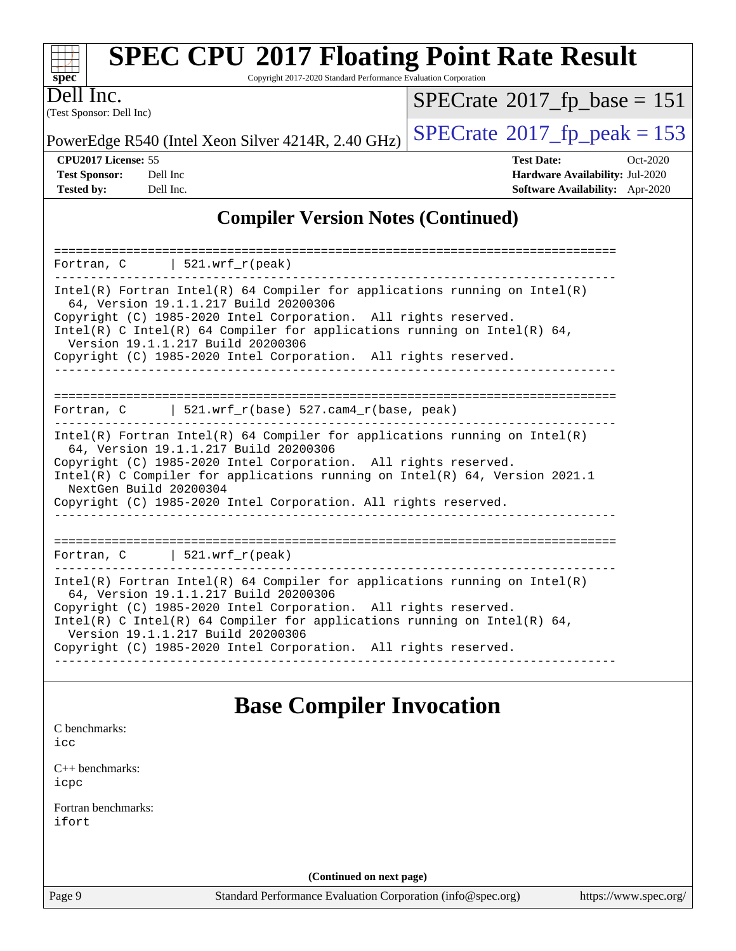| $spec^*$                                           |                                       | <b>SPEC CPU®2017 Floating Point Rate Result</b><br>Copyright 2017-2020 Standard Performance Evaluation Corporation |                                              |  |  |
|----------------------------------------------------|---------------------------------------|--------------------------------------------------------------------------------------------------------------------|----------------------------------------------|--|--|
|                                                    | Dell Inc.<br>(Test Sponsor: Dell Inc) |                                                                                                                    | $SPECrate^{\circledcirc}2017_fp\_base = 151$ |  |  |
| PowerEdge R540 (Intel Xeon Silver 4214R, 2.40 GHz) |                                       |                                                                                                                    | $SPECrate^{\circledcirc}2017$ fp peak = 153  |  |  |
| <b>CPU2017 License: 55</b>                         |                                       |                                                                                                                    | <b>Test Date:</b><br>$Oct-2020$              |  |  |
|                                                    | <b>Test Sponsor:</b>                  | Dell Inc                                                                                                           | <b>Hardware Availability: Jul-2020</b>       |  |  |
| <b>Tested by:</b>                                  |                                       | Dell Inc.                                                                                                          | <b>Software Availability:</b> Apr-2020       |  |  |
|                                                    |                                       |                                                                                                                    |                                              |  |  |

### **[Compiler Version Notes \(Continued\)](http://www.spec.org/auto/cpu2017/Docs/result-fields.html#CompilerVersionNotes)**

| Fortran, C   521.wrf_r(peak)                                                                                                                                                                                                                                                                                                                                               |
|----------------------------------------------------------------------------------------------------------------------------------------------------------------------------------------------------------------------------------------------------------------------------------------------------------------------------------------------------------------------------|
| Intel(R) Fortran Intel(R) 64 Compiler for applications running on Intel(R)<br>64, Version 19.1.1.217 Build 20200306<br>Copyright (C) 1985-2020 Intel Corporation. All rights reserved.<br>Intel(R) C Intel(R) 64 Compiler for applications running on Intel(R) 64,<br>Version 19.1.1.217 Build 20200306<br>Copyright (C) 1985-2020 Intel Corporation. All rights reserved. |
|                                                                                                                                                                                                                                                                                                                                                                            |
| Fortran, $C$   521.wrf $r(base)$ 527.cam4 $r(base$ , peak)                                                                                                                                                                                                                                                                                                                 |
|                                                                                                                                                                                                                                                                                                                                                                            |
| Intel(R) Fortran Intel(R) 64 Compiler for applications running on Intel(R)<br>64, Version 19.1.1.217 Build 20200306<br>Copyright (C) 1985-2020 Intel Corporation. All rights reserved.<br>Intel(R) C Compiler for applications running on Intel(R) 64, Version 2021.1<br>NextGen Build 20200304<br>Copyright (C) 1985-2020 Intel Corporation. All rights reserved.         |
| Fortran, $C$   521.wrf_r(peak)                                                                                                                                                                                                                                                                                                                                             |
| Intel(R) Fortran Intel(R) 64 Compiler for applications running on Intel(R)<br>64, Version 19.1.1.217 Build 20200306<br>Copyright (C) 1985-2020 Intel Corporation. All rights reserved.<br>Intel(R) C Intel(R) 64 Compiler for applications running on Intel(R) 64,<br>Version 19.1.1.217 Build 20200306<br>Copyright (C) 1985-2020 Intel Corporation. All rights reserved. |
| . .                                                                                                                                                                                                                                                                                                                                                                        |

## **[Base Compiler Invocation](http://www.spec.org/auto/cpu2017/Docs/result-fields.html#BaseCompilerInvocation)**

[C benchmarks](http://www.spec.org/auto/cpu2017/Docs/result-fields.html#Cbenchmarks): [icc](http://www.spec.org/cpu2017/results/res2020q4/cpu2017-20201020-24220.flags.html#user_CCbase_intel_icc_66fc1ee009f7361af1fbd72ca7dcefbb700085f36577c54f309893dd4ec40d12360134090235512931783d35fd58c0460139e722d5067c5574d8eaf2b3e37e92)

[C++ benchmarks:](http://www.spec.org/auto/cpu2017/Docs/result-fields.html#CXXbenchmarks) [icpc](http://www.spec.org/cpu2017/results/res2020q4/cpu2017-20201020-24220.flags.html#user_CXXbase_intel_icpc_c510b6838c7f56d33e37e94d029a35b4a7bccf4766a728ee175e80a419847e808290a9b78be685c44ab727ea267ec2f070ec5dc83b407c0218cded6866a35d07)

[Fortran benchmarks](http://www.spec.org/auto/cpu2017/Docs/result-fields.html#Fortranbenchmarks): [ifort](http://www.spec.org/cpu2017/results/res2020q4/cpu2017-20201020-24220.flags.html#user_FCbase_intel_ifort_8111460550e3ca792625aed983ce982f94888b8b503583aa7ba2b8303487b4d8a21a13e7191a45c5fd58ff318f48f9492884d4413fa793fd88dd292cad7027ca)

**(Continued on next page)**

Page 9 Standard Performance Evaluation Corporation [\(info@spec.org\)](mailto:info@spec.org) <https://www.spec.org/>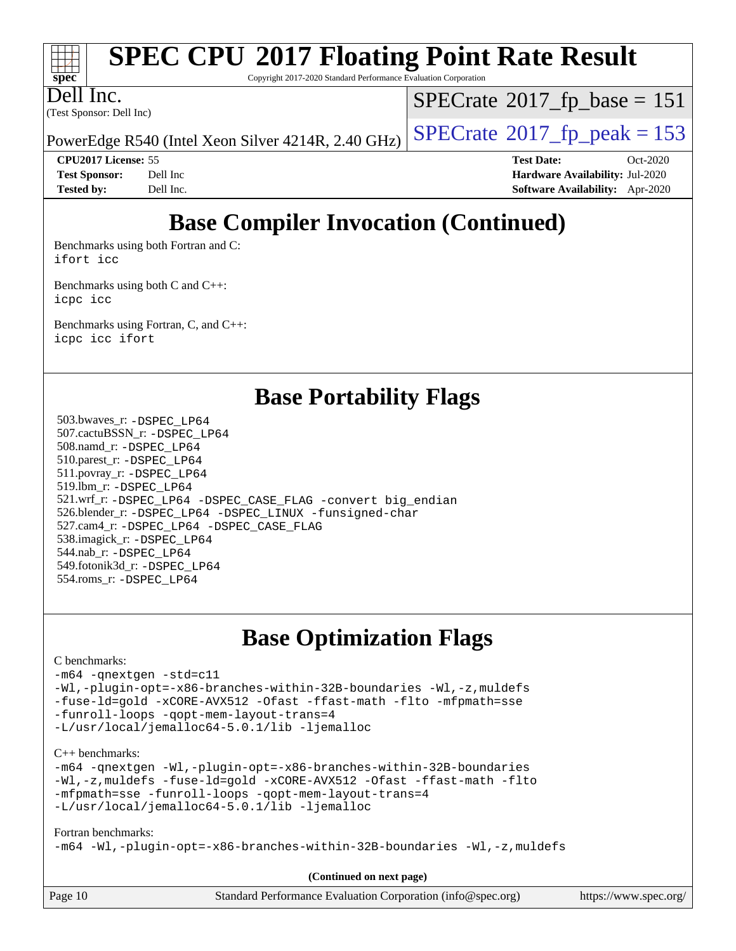

# **[SPEC CPU](http://www.spec.org/auto/cpu2017/Docs/result-fields.html#SPECCPU2017FloatingPointRateResult)[2017 Floating Point Rate Result](http://www.spec.org/auto/cpu2017/Docs/result-fields.html#SPECCPU2017FloatingPointRateResult)**

Copyright 2017-2020 Standard Performance Evaluation Corporation

(Test Sponsor: Dell Inc) Dell Inc.

 $SPECTate$ <sup>®</sup>[2017\\_fp\\_base =](http://www.spec.org/auto/cpu2017/Docs/result-fields.html#SPECrate2017fpbase) 151

PowerEdge R540 (Intel Xeon Silver 4214R, 2.40 GHz)  $\left|$  [SPECrate](http://www.spec.org/auto/cpu2017/Docs/result-fields.html#SPECrate2017fppeak)<sup>®</sup>[2017\\_fp\\_peak = 1](http://www.spec.org/auto/cpu2017/Docs/result-fields.html#SPECrate2017fppeak)53

**[CPU2017 License:](http://www.spec.org/auto/cpu2017/Docs/result-fields.html#CPU2017License)** 55 **[Test Date:](http://www.spec.org/auto/cpu2017/Docs/result-fields.html#TestDate)** Oct-2020 **[Test Sponsor:](http://www.spec.org/auto/cpu2017/Docs/result-fields.html#TestSponsor)** Dell Inc **[Hardware Availability:](http://www.spec.org/auto/cpu2017/Docs/result-fields.html#HardwareAvailability)** Jul-2020 **[Tested by:](http://www.spec.org/auto/cpu2017/Docs/result-fields.html#Testedby)** Dell Inc. **[Software Availability:](http://www.spec.org/auto/cpu2017/Docs/result-fields.html#SoftwareAvailability)** Apr-2020

# **[Base Compiler Invocation \(Continued\)](http://www.spec.org/auto/cpu2017/Docs/result-fields.html#BaseCompilerInvocation)**

[Benchmarks using both Fortran and C](http://www.spec.org/auto/cpu2017/Docs/result-fields.html#BenchmarksusingbothFortranandC): [ifort](http://www.spec.org/cpu2017/results/res2020q4/cpu2017-20201020-24220.flags.html#user_CC_FCbase_intel_ifort_8111460550e3ca792625aed983ce982f94888b8b503583aa7ba2b8303487b4d8a21a13e7191a45c5fd58ff318f48f9492884d4413fa793fd88dd292cad7027ca) [icc](http://www.spec.org/cpu2017/results/res2020q4/cpu2017-20201020-24220.flags.html#user_CC_FCbase_intel_icc_66fc1ee009f7361af1fbd72ca7dcefbb700085f36577c54f309893dd4ec40d12360134090235512931783d35fd58c0460139e722d5067c5574d8eaf2b3e37e92)

[Benchmarks using both C and C++](http://www.spec.org/auto/cpu2017/Docs/result-fields.html#BenchmarksusingbothCandCXX): [icpc](http://www.spec.org/cpu2017/results/res2020q4/cpu2017-20201020-24220.flags.html#user_CC_CXXbase_intel_icpc_c510b6838c7f56d33e37e94d029a35b4a7bccf4766a728ee175e80a419847e808290a9b78be685c44ab727ea267ec2f070ec5dc83b407c0218cded6866a35d07) [icc](http://www.spec.org/cpu2017/results/res2020q4/cpu2017-20201020-24220.flags.html#user_CC_CXXbase_intel_icc_66fc1ee009f7361af1fbd72ca7dcefbb700085f36577c54f309893dd4ec40d12360134090235512931783d35fd58c0460139e722d5067c5574d8eaf2b3e37e92)

[Benchmarks using Fortran, C, and C++:](http://www.spec.org/auto/cpu2017/Docs/result-fields.html#BenchmarksusingFortranCandCXX) [icpc](http://www.spec.org/cpu2017/results/res2020q4/cpu2017-20201020-24220.flags.html#user_CC_CXX_FCbase_intel_icpc_c510b6838c7f56d33e37e94d029a35b4a7bccf4766a728ee175e80a419847e808290a9b78be685c44ab727ea267ec2f070ec5dc83b407c0218cded6866a35d07) [icc](http://www.spec.org/cpu2017/results/res2020q4/cpu2017-20201020-24220.flags.html#user_CC_CXX_FCbase_intel_icc_66fc1ee009f7361af1fbd72ca7dcefbb700085f36577c54f309893dd4ec40d12360134090235512931783d35fd58c0460139e722d5067c5574d8eaf2b3e37e92) [ifort](http://www.spec.org/cpu2017/results/res2020q4/cpu2017-20201020-24220.flags.html#user_CC_CXX_FCbase_intel_ifort_8111460550e3ca792625aed983ce982f94888b8b503583aa7ba2b8303487b4d8a21a13e7191a45c5fd58ff318f48f9492884d4413fa793fd88dd292cad7027ca)

|  |  | <b>Base Portability Flags</b> |  |  |
|--|--|-------------------------------|--|--|
|--|--|-------------------------------|--|--|

 503.bwaves\_r: [-DSPEC\\_LP64](http://www.spec.org/cpu2017/results/res2020q4/cpu2017-20201020-24220.flags.html#suite_basePORTABILITY503_bwaves_r_DSPEC_LP64) 507.cactuBSSN\_r: [-DSPEC\\_LP64](http://www.spec.org/cpu2017/results/res2020q4/cpu2017-20201020-24220.flags.html#suite_basePORTABILITY507_cactuBSSN_r_DSPEC_LP64) 508.namd\_r: [-DSPEC\\_LP64](http://www.spec.org/cpu2017/results/res2020q4/cpu2017-20201020-24220.flags.html#suite_basePORTABILITY508_namd_r_DSPEC_LP64) 510.parest\_r: [-DSPEC\\_LP64](http://www.spec.org/cpu2017/results/res2020q4/cpu2017-20201020-24220.flags.html#suite_basePORTABILITY510_parest_r_DSPEC_LP64) 511.povray\_r: [-DSPEC\\_LP64](http://www.spec.org/cpu2017/results/res2020q4/cpu2017-20201020-24220.flags.html#suite_basePORTABILITY511_povray_r_DSPEC_LP64) 519.lbm\_r: [-DSPEC\\_LP64](http://www.spec.org/cpu2017/results/res2020q4/cpu2017-20201020-24220.flags.html#suite_basePORTABILITY519_lbm_r_DSPEC_LP64) 521.wrf\_r: [-DSPEC\\_LP64](http://www.spec.org/cpu2017/results/res2020q4/cpu2017-20201020-24220.flags.html#suite_basePORTABILITY521_wrf_r_DSPEC_LP64) [-DSPEC\\_CASE\\_FLAG](http://www.spec.org/cpu2017/results/res2020q4/cpu2017-20201020-24220.flags.html#b521.wrf_r_baseCPORTABILITY_DSPEC_CASE_FLAG) [-convert big\\_endian](http://www.spec.org/cpu2017/results/res2020q4/cpu2017-20201020-24220.flags.html#user_baseFPORTABILITY521_wrf_r_convert_big_endian_c3194028bc08c63ac5d04de18c48ce6d347e4e562e8892b8bdbdc0214820426deb8554edfa529a3fb25a586e65a3d812c835984020483e7e73212c4d31a38223) 526.blender\_r: [-DSPEC\\_LP64](http://www.spec.org/cpu2017/results/res2020q4/cpu2017-20201020-24220.flags.html#suite_basePORTABILITY526_blender_r_DSPEC_LP64) [-DSPEC\\_LINUX](http://www.spec.org/cpu2017/results/res2020q4/cpu2017-20201020-24220.flags.html#b526.blender_r_baseCPORTABILITY_DSPEC_LINUX) [-funsigned-char](http://www.spec.org/cpu2017/results/res2020q4/cpu2017-20201020-24220.flags.html#user_baseCPORTABILITY526_blender_r_force_uchar_40c60f00ab013830e2dd6774aeded3ff59883ba5a1fc5fc14077f794d777847726e2a5858cbc7672e36e1b067e7e5c1d9a74f7176df07886a243d7cc18edfe67) 527.cam4\_r: [-DSPEC\\_LP64](http://www.spec.org/cpu2017/results/res2020q4/cpu2017-20201020-24220.flags.html#suite_basePORTABILITY527_cam4_r_DSPEC_LP64) [-DSPEC\\_CASE\\_FLAG](http://www.spec.org/cpu2017/results/res2020q4/cpu2017-20201020-24220.flags.html#b527.cam4_r_baseCPORTABILITY_DSPEC_CASE_FLAG) 538.imagick\_r: [-DSPEC\\_LP64](http://www.spec.org/cpu2017/results/res2020q4/cpu2017-20201020-24220.flags.html#suite_basePORTABILITY538_imagick_r_DSPEC_LP64) 544.nab\_r: [-DSPEC\\_LP64](http://www.spec.org/cpu2017/results/res2020q4/cpu2017-20201020-24220.flags.html#suite_basePORTABILITY544_nab_r_DSPEC_LP64) 549.fotonik3d\_r: [-DSPEC\\_LP64](http://www.spec.org/cpu2017/results/res2020q4/cpu2017-20201020-24220.flags.html#suite_basePORTABILITY549_fotonik3d_r_DSPEC_LP64) 554.roms\_r: [-DSPEC\\_LP64](http://www.spec.org/cpu2017/results/res2020q4/cpu2017-20201020-24220.flags.html#suite_basePORTABILITY554_roms_r_DSPEC_LP64)

# **[Base Optimization Flags](http://www.spec.org/auto/cpu2017/Docs/result-fields.html#BaseOptimizationFlags)**

#### [C benchmarks](http://www.spec.org/auto/cpu2017/Docs/result-fields.html#Cbenchmarks):

```
-m64 -qnextgen -std=c11
-Wl,-plugin-opt=-x86-branches-within-32B-boundaries -Wl,-z,muldefs
-fuse-ld=gold -xCORE-AVX512 -Ofast -ffast-math -flto -mfpmath=sse
-funroll-loops -qopt-mem-layout-trans=4
-L/usr/local/jemalloc64-5.0.1/lib -ljemalloc
```
[C++ benchmarks:](http://www.spec.org/auto/cpu2017/Docs/result-fields.html#CXXbenchmarks)

[-m64](http://www.spec.org/cpu2017/results/res2020q4/cpu2017-20201020-24220.flags.html#user_CXXbase_m64-icc) [-qnextgen](http://www.spec.org/cpu2017/results/res2020q4/cpu2017-20201020-24220.flags.html#user_CXXbase_f-qnextgen) [-Wl,-plugin-opt=-x86-branches-within-32B-boundaries](http://www.spec.org/cpu2017/results/res2020q4/cpu2017-20201020-24220.flags.html#user_CXXbase_f-x86-branches-within-32B-boundaries_0098b4e4317ae60947b7b728078a624952a08ac37a3c797dfb4ffeb399e0c61a9dd0f2f44ce917e9361fb9076ccb15e7824594512dd315205382d84209e912f3) [-Wl,-z,muldefs](http://www.spec.org/cpu2017/results/res2020q4/cpu2017-20201020-24220.flags.html#user_CXXbase_link_force_multiple1_b4cbdb97b34bdee9ceefcfe54f4c8ea74255f0b02a4b23e853cdb0e18eb4525ac79b5a88067c842dd0ee6996c24547a27a4b99331201badda8798ef8a743f577) [-fuse-ld=gold](http://www.spec.org/cpu2017/results/res2020q4/cpu2017-20201020-24220.flags.html#user_CXXbase_f-fuse-ld_920b3586e2b8c6e0748b9c84fa9b744736ba725a32cab14ad8f3d4ad28eecb2f59d1144823d2e17006539a88734fe1fc08fc3035f7676166309105a78aaabc32) [-xCORE-AVX512](http://www.spec.org/cpu2017/results/res2020q4/cpu2017-20201020-24220.flags.html#user_CXXbase_f-xCORE-AVX512) [-Ofast](http://www.spec.org/cpu2017/results/res2020q4/cpu2017-20201020-24220.flags.html#user_CXXbase_f-Ofast) [-ffast-math](http://www.spec.org/cpu2017/results/res2020q4/cpu2017-20201020-24220.flags.html#user_CXXbase_f-ffast-math) [-flto](http://www.spec.org/cpu2017/results/res2020q4/cpu2017-20201020-24220.flags.html#user_CXXbase_f-flto) [-mfpmath=sse](http://www.spec.org/cpu2017/results/res2020q4/cpu2017-20201020-24220.flags.html#user_CXXbase_f-mfpmath_70eb8fac26bde974f8ab713bc9086c5621c0b8d2f6c86f38af0bd7062540daf19db5f3a066d8c6684be05d84c9b6322eb3b5be6619d967835195b93d6c02afa1) [-funroll-loops](http://www.spec.org/cpu2017/results/res2020q4/cpu2017-20201020-24220.flags.html#user_CXXbase_f-funroll-loops) [-qopt-mem-layout-trans=4](http://www.spec.org/cpu2017/results/res2020q4/cpu2017-20201020-24220.flags.html#user_CXXbase_f-qopt-mem-layout-trans_fa39e755916c150a61361b7846f310bcdf6f04e385ef281cadf3647acec3f0ae266d1a1d22d972a7087a248fd4e6ca390a3634700869573d231a252c784941a8) [-L/usr/local/jemalloc64-5.0.1/lib](http://www.spec.org/cpu2017/results/res2020q4/cpu2017-20201020-24220.flags.html#user_CXXbase_jemalloc_link_path64_1_cc289568b1a6c0fd3b62c91b824c27fcb5af5e8098e6ad028160d21144ef1b8aef3170d2acf0bee98a8da324cfe4f67d0a3d0c4cc4673d993d694dc2a0df248b) [-ljemalloc](http://www.spec.org/cpu2017/results/res2020q4/cpu2017-20201020-24220.flags.html#user_CXXbase_jemalloc_link_lib_d1249b907c500fa1c0672f44f562e3d0f79738ae9e3c4a9c376d49f265a04b9c99b167ecedbf6711b3085be911c67ff61f150a17b3472be731631ba4d0471706)

#### [Fortran benchmarks](http://www.spec.org/auto/cpu2017/Docs/result-fields.html#Fortranbenchmarks):

[-m64](http://www.spec.org/cpu2017/results/res2020q4/cpu2017-20201020-24220.flags.html#user_FCbase_m64-icc) [-Wl,-plugin-opt=-x86-branches-within-32B-boundaries](http://www.spec.org/cpu2017/results/res2020q4/cpu2017-20201020-24220.flags.html#user_FCbase_f-x86-branches-within-32B-boundaries_0098b4e4317ae60947b7b728078a624952a08ac37a3c797dfb4ffeb399e0c61a9dd0f2f44ce917e9361fb9076ccb15e7824594512dd315205382d84209e912f3) [-Wl,-z,muldefs](http://www.spec.org/cpu2017/results/res2020q4/cpu2017-20201020-24220.flags.html#user_FCbase_link_force_multiple1_b4cbdb97b34bdee9ceefcfe54f4c8ea74255f0b02a4b23e853cdb0e18eb4525ac79b5a88067c842dd0ee6996c24547a27a4b99331201badda8798ef8a743f577)

| Page 10 |
|---------|
|         |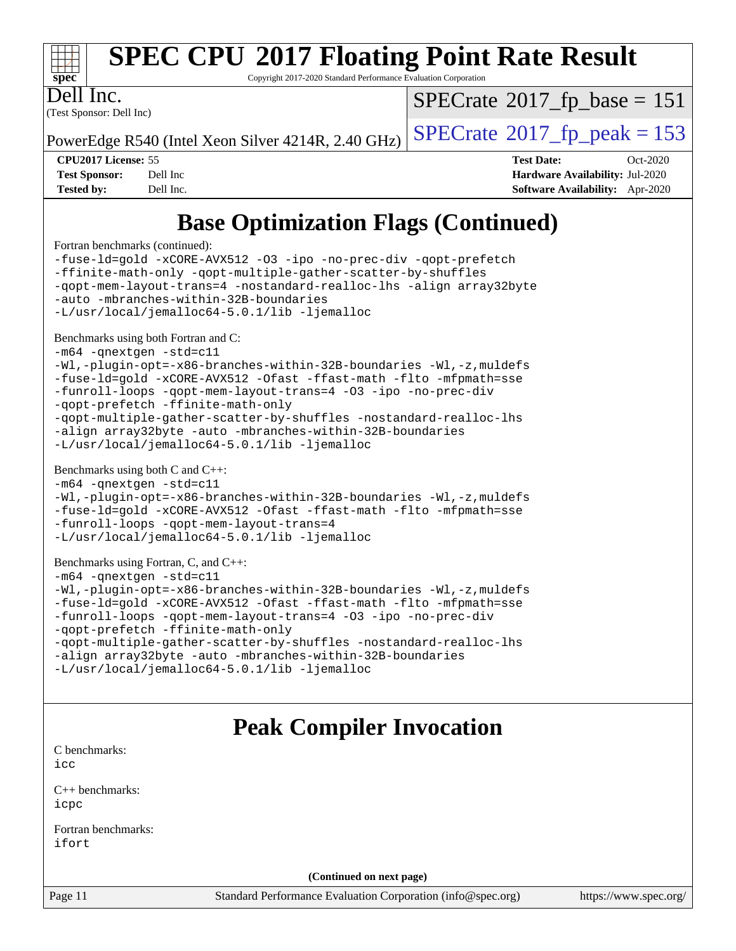

# **[SPEC CPU](http://www.spec.org/auto/cpu2017/Docs/result-fields.html#SPECCPU2017FloatingPointRateResult)[2017 Floating Point Rate Result](http://www.spec.org/auto/cpu2017/Docs/result-fields.html#SPECCPU2017FloatingPointRateResult)**

Copyright 2017-2020 Standard Performance Evaluation Corporation

Dell Inc.

(Test Sponsor: Dell Inc)

 $SPECTate$ <sup>®</sup>[2017\\_fp\\_base =](http://www.spec.org/auto/cpu2017/Docs/result-fields.html#SPECrate2017fpbase) 151

PowerEdge R540 (Intel Xeon Silver 4214R, 2.40 GHz)  $\left|$  [SPECrate](http://www.spec.org/auto/cpu2017/Docs/result-fields.html#SPECrate2017fppeak)®[2017\\_fp\\_peak = 1](http://www.spec.org/auto/cpu2017/Docs/result-fields.html#SPECrate2017fppeak)53

**[CPU2017 License:](http://www.spec.org/auto/cpu2017/Docs/result-fields.html#CPU2017License)** 55 **[Test Date:](http://www.spec.org/auto/cpu2017/Docs/result-fields.html#TestDate)** Oct-2020 **[Test Sponsor:](http://www.spec.org/auto/cpu2017/Docs/result-fields.html#TestSponsor)** Dell Inc **[Hardware Availability:](http://www.spec.org/auto/cpu2017/Docs/result-fields.html#HardwareAvailability)** Jul-2020 **[Tested by:](http://www.spec.org/auto/cpu2017/Docs/result-fields.html#Testedby)** Dell Inc. **[Software Availability:](http://www.spec.org/auto/cpu2017/Docs/result-fields.html#SoftwareAvailability)** Apr-2020

# **[Base Optimization Flags \(Continued\)](http://www.spec.org/auto/cpu2017/Docs/result-fields.html#BaseOptimizationFlags)**

[Fortran benchmarks](http://www.spec.org/auto/cpu2017/Docs/result-fields.html#Fortranbenchmarks) (continued):

[-fuse-ld=gold](http://www.spec.org/cpu2017/results/res2020q4/cpu2017-20201020-24220.flags.html#user_FCbase_f-fuse-ld_920b3586e2b8c6e0748b9c84fa9b744736ba725a32cab14ad8f3d4ad28eecb2f59d1144823d2e17006539a88734fe1fc08fc3035f7676166309105a78aaabc32) [-xCORE-AVX512](http://www.spec.org/cpu2017/results/res2020q4/cpu2017-20201020-24220.flags.html#user_FCbase_f-xCORE-AVX512) [-O3](http://www.spec.org/cpu2017/results/res2020q4/cpu2017-20201020-24220.flags.html#user_FCbase_f-O3) [-ipo](http://www.spec.org/cpu2017/results/res2020q4/cpu2017-20201020-24220.flags.html#user_FCbase_f-ipo) [-no-prec-div](http://www.spec.org/cpu2017/results/res2020q4/cpu2017-20201020-24220.flags.html#user_FCbase_f-no-prec-div) [-qopt-prefetch](http://www.spec.org/cpu2017/results/res2020q4/cpu2017-20201020-24220.flags.html#user_FCbase_f-qopt-prefetch) [-ffinite-math-only](http://www.spec.org/cpu2017/results/res2020q4/cpu2017-20201020-24220.flags.html#user_FCbase_f_finite_math_only_cb91587bd2077682c4b38af759c288ed7c732db004271a9512da14a4f8007909a5f1427ecbf1a0fb78ff2a814402c6114ac565ca162485bbcae155b5e4258871) [-qopt-multiple-gather-scatter-by-shuffles](http://www.spec.org/cpu2017/results/res2020q4/cpu2017-20201020-24220.flags.html#user_FCbase_f-qopt-multiple-gather-scatter-by-shuffles) [-qopt-mem-layout-trans=4](http://www.spec.org/cpu2017/results/res2020q4/cpu2017-20201020-24220.flags.html#user_FCbase_f-qopt-mem-layout-trans_fa39e755916c150a61361b7846f310bcdf6f04e385ef281cadf3647acec3f0ae266d1a1d22d972a7087a248fd4e6ca390a3634700869573d231a252c784941a8) [-nostandard-realloc-lhs](http://www.spec.org/cpu2017/results/res2020q4/cpu2017-20201020-24220.flags.html#user_FCbase_f_2003_std_realloc_82b4557e90729c0f113870c07e44d33d6f5a304b4f63d4c15d2d0f1fab99f5daaed73bdb9275d9ae411527f28b936061aa8b9c8f2d63842963b95c9dd6426b8a) [-align array32byte](http://www.spec.org/cpu2017/results/res2020q4/cpu2017-20201020-24220.flags.html#user_FCbase_align_array32byte_b982fe038af199962ba9a80c053b8342c548c85b40b8e86eb3cc33dee0d7986a4af373ac2d51c3f7cf710a18d62fdce2948f201cd044323541f22fc0fffc51b6) [-auto](http://www.spec.org/cpu2017/results/res2020q4/cpu2017-20201020-24220.flags.html#user_FCbase_f-auto) [-mbranches-within-32B-boundaries](http://www.spec.org/cpu2017/results/res2020q4/cpu2017-20201020-24220.flags.html#user_FCbase_f-mbranches-within-32B-boundaries) [-L/usr/local/jemalloc64-5.0.1/lib](http://www.spec.org/cpu2017/results/res2020q4/cpu2017-20201020-24220.flags.html#user_FCbase_jemalloc_link_path64_1_cc289568b1a6c0fd3b62c91b824c27fcb5af5e8098e6ad028160d21144ef1b8aef3170d2acf0bee98a8da324cfe4f67d0a3d0c4cc4673d993d694dc2a0df248b) [-ljemalloc](http://www.spec.org/cpu2017/results/res2020q4/cpu2017-20201020-24220.flags.html#user_FCbase_jemalloc_link_lib_d1249b907c500fa1c0672f44f562e3d0f79738ae9e3c4a9c376d49f265a04b9c99b167ecedbf6711b3085be911c67ff61f150a17b3472be731631ba4d0471706) [Benchmarks using both Fortran and C](http://www.spec.org/auto/cpu2017/Docs/result-fields.html#BenchmarksusingbothFortranandC): [-m64](http://www.spec.org/cpu2017/results/res2020q4/cpu2017-20201020-24220.flags.html#user_CC_FCbase_m64-icc) [-qnextgen](http://www.spec.org/cpu2017/results/res2020q4/cpu2017-20201020-24220.flags.html#user_CC_FCbase_f-qnextgen) [-std=c11](http://www.spec.org/cpu2017/results/res2020q4/cpu2017-20201020-24220.flags.html#user_CC_FCbase_std-icc-std_0e1c27790398a4642dfca32ffe6c27b5796f9c2d2676156f2e42c9c44eaad0c049b1cdb667a270c34d979996257aeb8fc440bfb01818dbc9357bd9d174cb8524) [-Wl,-plugin-opt=-x86-branches-within-32B-boundaries](http://www.spec.org/cpu2017/results/res2020q4/cpu2017-20201020-24220.flags.html#user_CC_FCbase_f-x86-branches-within-32B-boundaries_0098b4e4317ae60947b7b728078a624952a08ac37a3c797dfb4ffeb399e0c61a9dd0f2f44ce917e9361fb9076ccb15e7824594512dd315205382d84209e912f3) [-Wl,-z,muldefs](http://www.spec.org/cpu2017/results/res2020q4/cpu2017-20201020-24220.flags.html#user_CC_FCbase_link_force_multiple1_b4cbdb97b34bdee9ceefcfe54f4c8ea74255f0b02a4b23e853cdb0e18eb4525ac79b5a88067c842dd0ee6996c24547a27a4b99331201badda8798ef8a743f577) [-fuse-ld=gold](http://www.spec.org/cpu2017/results/res2020q4/cpu2017-20201020-24220.flags.html#user_CC_FCbase_f-fuse-ld_920b3586e2b8c6e0748b9c84fa9b744736ba725a32cab14ad8f3d4ad28eecb2f59d1144823d2e17006539a88734fe1fc08fc3035f7676166309105a78aaabc32) [-xCORE-AVX512](http://www.spec.org/cpu2017/results/res2020q4/cpu2017-20201020-24220.flags.html#user_CC_FCbase_f-xCORE-AVX512) [-Ofast](http://www.spec.org/cpu2017/results/res2020q4/cpu2017-20201020-24220.flags.html#user_CC_FCbase_f-Ofast) [-ffast-math](http://www.spec.org/cpu2017/results/res2020q4/cpu2017-20201020-24220.flags.html#user_CC_FCbase_f-ffast-math) [-flto](http://www.spec.org/cpu2017/results/res2020q4/cpu2017-20201020-24220.flags.html#user_CC_FCbase_f-flto) [-mfpmath=sse](http://www.spec.org/cpu2017/results/res2020q4/cpu2017-20201020-24220.flags.html#user_CC_FCbase_f-mfpmath_70eb8fac26bde974f8ab713bc9086c5621c0b8d2f6c86f38af0bd7062540daf19db5f3a066d8c6684be05d84c9b6322eb3b5be6619d967835195b93d6c02afa1) [-funroll-loops](http://www.spec.org/cpu2017/results/res2020q4/cpu2017-20201020-24220.flags.html#user_CC_FCbase_f-funroll-loops) [-qopt-mem-layout-trans=4](http://www.spec.org/cpu2017/results/res2020q4/cpu2017-20201020-24220.flags.html#user_CC_FCbase_f-qopt-mem-layout-trans_fa39e755916c150a61361b7846f310bcdf6f04e385ef281cadf3647acec3f0ae266d1a1d22d972a7087a248fd4e6ca390a3634700869573d231a252c784941a8) [-O3](http://www.spec.org/cpu2017/results/res2020q4/cpu2017-20201020-24220.flags.html#user_CC_FCbase_f-O3) [-ipo](http://www.spec.org/cpu2017/results/res2020q4/cpu2017-20201020-24220.flags.html#user_CC_FCbase_f-ipo) [-no-prec-div](http://www.spec.org/cpu2017/results/res2020q4/cpu2017-20201020-24220.flags.html#user_CC_FCbase_f-no-prec-div) [-qopt-prefetch](http://www.spec.org/cpu2017/results/res2020q4/cpu2017-20201020-24220.flags.html#user_CC_FCbase_f-qopt-prefetch) [-ffinite-math-only](http://www.spec.org/cpu2017/results/res2020q4/cpu2017-20201020-24220.flags.html#user_CC_FCbase_f_finite_math_only_cb91587bd2077682c4b38af759c288ed7c732db004271a9512da14a4f8007909a5f1427ecbf1a0fb78ff2a814402c6114ac565ca162485bbcae155b5e4258871) [-qopt-multiple-gather-scatter-by-shuffles](http://www.spec.org/cpu2017/results/res2020q4/cpu2017-20201020-24220.flags.html#user_CC_FCbase_f-qopt-multiple-gather-scatter-by-shuffles) [-nostandard-realloc-lhs](http://www.spec.org/cpu2017/results/res2020q4/cpu2017-20201020-24220.flags.html#user_CC_FCbase_f_2003_std_realloc_82b4557e90729c0f113870c07e44d33d6f5a304b4f63d4c15d2d0f1fab99f5daaed73bdb9275d9ae411527f28b936061aa8b9c8f2d63842963b95c9dd6426b8a) [-align array32byte](http://www.spec.org/cpu2017/results/res2020q4/cpu2017-20201020-24220.flags.html#user_CC_FCbase_align_array32byte_b982fe038af199962ba9a80c053b8342c548c85b40b8e86eb3cc33dee0d7986a4af373ac2d51c3f7cf710a18d62fdce2948f201cd044323541f22fc0fffc51b6) [-auto](http://www.spec.org/cpu2017/results/res2020q4/cpu2017-20201020-24220.flags.html#user_CC_FCbase_f-auto) [-mbranches-within-32B-boundaries](http://www.spec.org/cpu2017/results/res2020q4/cpu2017-20201020-24220.flags.html#user_CC_FCbase_f-mbranches-within-32B-boundaries) [-L/usr/local/jemalloc64-5.0.1/lib](http://www.spec.org/cpu2017/results/res2020q4/cpu2017-20201020-24220.flags.html#user_CC_FCbase_jemalloc_link_path64_1_cc289568b1a6c0fd3b62c91b824c27fcb5af5e8098e6ad028160d21144ef1b8aef3170d2acf0bee98a8da324cfe4f67d0a3d0c4cc4673d993d694dc2a0df248b) [-ljemalloc](http://www.spec.org/cpu2017/results/res2020q4/cpu2017-20201020-24220.flags.html#user_CC_FCbase_jemalloc_link_lib_d1249b907c500fa1c0672f44f562e3d0f79738ae9e3c4a9c376d49f265a04b9c99b167ecedbf6711b3085be911c67ff61f150a17b3472be731631ba4d0471706) [Benchmarks using both C and C++](http://www.spec.org/auto/cpu2017/Docs/result-fields.html#BenchmarksusingbothCandCXX): [-m64](http://www.spec.org/cpu2017/results/res2020q4/cpu2017-20201020-24220.flags.html#user_CC_CXXbase_m64-icc) [-qnextgen](http://www.spec.org/cpu2017/results/res2020q4/cpu2017-20201020-24220.flags.html#user_CC_CXXbase_f-qnextgen) [-std=c11](http://www.spec.org/cpu2017/results/res2020q4/cpu2017-20201020-24220.flags.html#user_CC_CXXbase_std-icc-std_0e1c27790398a4642dfca32ffe6c27b5796f9c2d2676156f2e42c9c44eaad0c049b1cdb667a270c34d979996257aeb8fc440bfb01818dbc9357bd9d174cb8524) [-Wl,-plugin-opt=-x86-branches-within-32B-boundaries](http://www.spec.org/cpu2017/results/res2020q4/cpu2017-20201020-24220.flags.html#user_CC_CXXbase_f-x86-branches-within-32B-boundaries_0098b4e4317ae60947b7b728078a624952a08ac37a3c797dfb4ffeb399e0c61a9dd0f2f44ce917e9361fb9076ccb15e7824594512dd315205382d84209e912f3) [-Wl,-z,muldefs](http://www.spec.org/cpu2017/results/res2020q4/cpu2017-20201020-24220.flags.html#user_CC_CXXbase_link_force_multiple1_b4cbdb97b34bdee9ceefcfe54f4c8ea74255f0b02a4b23e853cdb0e18eb4525ac79b5a88067c842dd0ee6996c24547a27a4b99331201badda8798ef8a743f577) [-fuse-ld=gold](http://www.spec.org/cpu2017/results/res2020q4/cpu2017-20201020-24220.flags.html#user_CC_CXXbase_f-fuse-ld_920b3586e2b8c6e0748b9c84fa9b744736ba725a32cab14ad8f3d4ad28eecb2f59d1144823d2e17006539a88734fe1fc08fc3035f7676166309105a78aaabc32) [-xCORE-AVX512](http://www.spec.org/cpu2017/results/res2020q4/cpu2017-20201020-24220.flags.html#user_CC_CXXbase_f-xCORE-AVX512) [-Ofast](http://www.spec.org/cpu2017/results/res2020q4/cpu2017-20201020-24220.flags.html#user_CC_CXXbase_f-Ofast) [-ffast-math](http://www.spec.org/cpu2017/results/res2020q4/cpu2017-20201020-24220.flags.html#user_CC_CXXbase_f-ffast-math) [-flto](http://www.spec.org/cpu2017/results/res2020q4/cpu2017-20201020-24220.flags.html#user_CC_CXXbase_f-flto) [-mfpmath=sse](http://www.spec.org/cpu2017/results/res2020q4/cpu2017-20201020-24220.flags.html#user_CC_CXXbase_f-mfpmath_70eb8fac26bde974f8ab713bc9086c5621c0b8d2f6c86f38af0bd7062540daf19db5f3a066d8c6684be05d84c9b6322eb3b5be6619d967835195b93d6c02afa1) [-funroll-loops](http://www.spec.org/cpu2017/results/res2020q4/cpu2017-20201020-24220.flags.html#user_CC_CXXbase_f-funroll-loops) [-qopt-mem-layout-trans=4](http://www.spec.org/cpu2017/results/res2020q4/cpu2017-20201020-24220.flags.html#user_CC_CXXbase_f-qopt-mem-layout-trans_fa39e755916c150a61361b7846f310bcdf6f04e385ef281cadf3647acec3f0ae266d1a1d22d972a7087a248fd4e6ca390a3634700869573d231a252c784941a8) [-L/usr/local/jemalloc64-5.0.1/lib](http://www.spec.org/cpu2017/results/res2020q4/cpu2017-20201020-24220.flags.html#user_CC_CXXbase_jemalloc_link_path64_1_cc289568b1a6c0fd3b62c91b824c27fcb5af5e8098e6ad028160d21144ef1b8aef3170d2acf0bee98a8da324cfe4f67d0a3d0c4cc4673d993d694dc2a0df248b) [-ljemalloc](http://www.spec.org/cpu2017/results/res2020q4/cpu2017-20201020-24220.flags.html#user_CC_CXXbase_jemalloc_link_lib_d1249b907c500fa1c0672f44f562e3d0f79738ae9e3c4a9c376d49f265a04b9c99b167ecedbf6711b3085be911c67ff61f150a17b3472be731631ba4d0471706) [Benchmarks using Fortran, C, and C++:](http://www.spec.org/auto/cpu2017/Docs/result-fields.html#BenchmarksusingFortranCandCXX) [-m64](http://www.spec.org/cpu2017/results/res2020q4/cpu2017-20201020-24220.flags.html#user_CC_CXX_FCbase_m64-icc) [-qnextgen](http://www.spec.org/cpu2017/results/res2020q4/cpu2017-20201020-24220.flags.html#user_CC_CXX_FCbase_f-qnextgen) [-std=c11](http://www.spec.org/cpu2017/results/res2020q4/cpu2017-20201020-24220.flags.html#user_CC_CXX_FCbase_std-icc-std_0e1c27790398a4642dfca32ffe6c27b5796f9c2d2676156f2e42c9c44eaad0c049b1cdb667a270c34d979996257aeb8fc440bfb01818dbc9357bd9d174cb8524) [-Wl,-plugin-opt=-x86-branches-within-32B-boundaries](http://www.spec.org/cpu2017/results/res2020q4/cpu2017-20201020-24220.flags.html#user_CC_CXX_FCbase_f-x86-branches-within-32B-boundaries_0098b4e4317ae60947b7b728078a624952a08ac37a3c797dfb4ffeb399e0c61a9dd0f2f44ce917e9361fb9076ccb15e7824594512dd315205382d84209e912f3) [-Wl,-z,muldefs](http://www.spec.org/cpu2017/results/res2020q4/cpu2017-20201020-24220.flags.html#user_CC_CXX_FCbase_link_force_multiple1_b4cbdb97b34bdee9ceefcfe54f4c8ea74255f0b02a4b23e853cdb0e18eb4525ac79b5a88067c842dd0ee6996c24547a27a4b99331201badda8798ef8a743f577) [-fuse-ld=gold](http://www.spec.org/cpu2017/results/res2020q4/cpu2017-20201020-24220.flags.html#user_CC_CXX_FCbase_f-fuse-ld_920b3586e2b8c6e0748b9c84fa9b744736ba725a32cab14ad8f3d4ad28eecb2f59d1144823d2e17006539a88734fe1fc08fc3035f7676166309105a78aaabc32) [-xCORE-AVX512](http://www.spec.org/cpu2017/results/res2020q4/cpu2017-20201020-24220.flags.html#user_CC_CXX_FCbase_f-xCORE-AVX512) [-Ofast](http://www.spec.org/cpu2017/results/res2020q4/cpu2017-20201020-24220.flags.html#user_CC_CXX_FCbase_f-Ofast) [-ffast-math](http://www.spec.org/cpu2017/results/res2020q4/cpu2017-20201020-24220.flags.html#user_CC_CXX_FCbase_f-ffast-math) [-flto](http://www.spec.org/cpu2017/results/res2020q4/cpu2017-20201020-24220.flags.html#user_CC_CXX_FCbase_f-flto) [-mfpmath=sse](http://www.spec.org/cpu2017/results/res2020q4/cpu2017-20201020-24220.flags.html#user_CC_CXX_FCbase_f-mfpmath_70eb8fac26bde974f8ab713bc9086c5621c0b8d2f6c86f38af0bd7062540daf19db5f3a066d8c6684be05d84c9b6322eb3b5be6619d967835195b93d6c02afa1) [-funroll-loops](http://www.spec.org/cpu2017/results/res2020q4/cpu2017-20201020-24220.flags.html#user_CC_CXX_FCbase_f-funroll-loops) [-qopt-mem-layout-trans=4](http://www.spec.org/cpu2017/results/res2020q4/cpu2017-20201020-24220.flags.html#user_CC_CXX_FCbase_f-qopt-mem-layout-trans_fa39e755916c150a61361b7846f310bcdf6f04e385ef281cadf3647acec3f0ae266d1a1d22d972a7087a248fd4e6ca390a3634700869573d231a252c784941a8) [-O3](http://www.spec.org/cpu2017/results/res2020q4/cpu2017-20201020-24220.flags.html#user_CC_CXX_FCbase_f-O3) [-ipo](http://www.spec.org/cpu2017/results/res2020q4/cpu2017-20201020-24220.flags.html#user_CC_CXX_FCbase_f-ipo) [-no-prec-div](http://www.spec.org/cpu2017/results/res2020q4/cpu2017-20201020-24220.flags.html#user_CC_CXX_FCbase_f-no-prec-div) [-qopt-prefetch](http://www.spec.org/cpu2017/results/res2020q4/cpu2017-20201020-24220.flags.html#user_CC_CXX_FCbase_f-qopt-prefetch) [-ffinite-math-only](http://www.spec.org/cpu2017/results/res2020q4/cpu2017-20201020-24220.flags.html#user_CC_CXX_FCbase_f_finite_math_only_cb91587bd2077682c4b38af759c288ed7c732db004271a9512da14a4f8007909a5f1427ecbf1a0fb78ff2a814402c6114ac565ca162485bbcae155b5e4258871)

|  |                                                           | -gopt-multiple-gather-scatter-by-shuffles -nostandard-realloc-lhs |
|--|-----------------------------------------------------------|-------------------------------------------------------------------|
|  | -align array32byte -auto -mbranches-within-32B-boundaries |                                                                   |
|  | -L/usr/local/jemalloc64-5.0.1/lib -ljemalloc              |                                                                   |

# **[Peak Compiler Invocation](http://www.spec.org/auto/cpu2017/Docs/result-fields.html#PeakCompilerInvocation)**

[C benchmarks](http://www.spec.org/auto/cpu2017/Docs/result-fields.html#Cbenchmarks): [icc](http://www.spec.org/cpu2017/results/res2020q4/cpu2017-20201020-24220.flags.html#user_CCpeak_intel_icc_66fc1ee009f7361af1fbd72ca7dcefbb700085f36577c54f309893dd4ec40d12360134090235512931783d35fd58c0460139e722d5067c5574d8eaf2b3e37e92)

[C++ benchmarks:](http://www.spec.org/auto/cpu2017/Docs/result-fields.html#CXXbenchmarks) [icpc](http://www.spec.org/cpu2017/results/res2020q4/cpu2017-20201020-24220.flags.html#user_CXXpeak_intel_icpc_c510b6838c7f56d33e37e94d029a35b4a7bccf4766a728ee175e80a419847e808290a9b78be685c44ab727ea267ec2f070ec5dc83b407c0218cded6866a35d07)

[Fortran benchmarks](http://www.spec.org/auto/cpu2017/Docs/result-fields.html#Fortranbenchmarks): [ifort](http://www.spec.org/cpu2017/results/res2020q4/cpu2017-20201020-24220.flags.html#user_FCpeak_intel_ifort_8111460550e3ca792625aed983ce982f94888b8b503583aa7ba2b8303487b4d8a21a13e7191a45c5fd58ff318f48f9492884d4413fa793fd88dd292cad7027ca)

**(Continued on next page)**

Page 11 Standard Performance Evaluation Corporation [\(info@spec.org\)](mailto:info@spec.org) <https://www.spec.org/>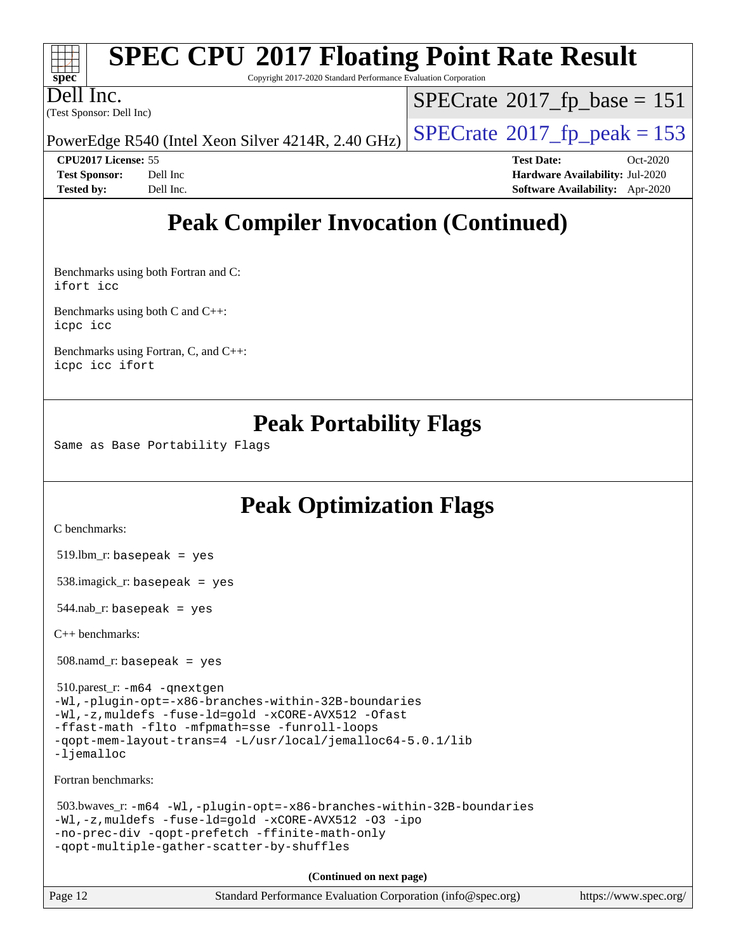| $\frac{1}{\sqrt{1-\frac{1}{2}}\sqrt{1-\frac{1}{2}}\sqrt{1-\frac{1}{2}}\sqrt{1-\frac{1}{2}}\sqrt{1-\frac{1}{2}}\sqrt{1-\frac{1}{2}}\sqrt{1-\frac{1}{2}}\sqrt{1-\frac{1}{2}}\sqrt{1-\frac{1}{2}}\sqrt{1-\frac{1}{2}}\sqrt{1-\frac{1}{2}}\sqrt{1-\frac{1}{2}}\sqrt{1-\frac{1}{2}}\sqrt{1-\frac{1}{2}}\sqrt{1-\frac{1}{2}}\sqrt{1-\frac{1}{2}}\sqrt{1-\frac{1}{2}}\sqrt{1-\frac{1}{2}}\sqrt{1-\frac{1}{2}}\sqrt{1-\frac$ | <b>SPEC CPU®2017 Floating Point Rate Result</b><br>Copyright 2017-2020 Standard Performance Evaluation Corporation |                                      |
|----------------------------------------------------------------------------------------------------------------------------------------------------------------------------------------------------------------------------------------------------------------------------------------------------------------------------------------------------------------------------------------------------------------------|--------------------------------------------------------------------------------------------------------------------|--------------------------------------|
| Dell Inc.                                                                                                                                                                                                                                                                                                                                                                                                            | (Test Sponsor: Dell Inc)                                                                                           | $SPECrate^{\circ}2017$ fp base = 151 |
|                                                                                                                                                                                                                                                                                                                                                                                                                      |                                                                                                                    |                                      |

# PowerEdge R540 (Intel Xeon Silver 4214R, 2.40 GHz)  $\left|$  [SPECrate](http://www.spec.org/auto/cpu2017/Docs/result-fields.html#SPECrate2017fppeak)<sup>®</sup>[2017\\_fp\\_peak = 1](http://www.spec.org/auto/cpu2017/Docs/result-fields.html#SPECrate2017fppeak)53

**[CPU2017 License:](http://www.spec.org/auto/cpu2017/Docs/result-fields.html#CPU2017License)** 55 **[Test Date:](http://www.spec.org/auto/cpu2017/Docs/result-fields.html#TestDate)** Oct-2020 **[Test Sponsor:](http://www.spec.org/auto/cpu2017/Docs/result-fields.html#TestSponsor)** Dell Inc **[Hardware Availability:](http://www.spec.org/auto/cpu2017/Docs/result-fields.html#HardwareAvailability)** Jul-2020 **[Tested by:](http://www.spec.org/auto/cpu2017/Docs/result-fields.html#Testedby)** Dell Inc. **[Software Availability:](http://www.spec.org/auto/cpu2017/Docs/result-fields.html#SoftwareAvailability)** Apr-2020

# **[Peak Compiler Invocation \(Continued\)](http://www.spec.org/auto/cpu2017/Docs/result-fields.html#PeakCompilerInvocation)**

[Benchmarks using both Fortran and C](http://www.spec.org/auto/cpu2017/Docs/result-fields.html#BenchmarksusingbothFortranandC): [ifort](http://www.spec.org/cpu2017/results/res2020q4/cpu2017-20201020-24220.flags.html#user_CC_FCpeak_intel_ifort_8111460550e3ca792625aed983ce982f94888b8b503583aa7ba2b8303487b4d8a21a13e7191a45c5fd58ff318f48f9492884d4413fa793fd88dd292cad7027ca) [icc](http://www.spec.org/cpu2017/results/res2020q4/cpu2017-20201020-24220.flags.html#user_CC_FCpeak_intel_icc_66fc1ee009f7361af1fbd72ca7dcefbb700085f36577c54f309893dd4ec40d12360134090235512931783d35fd58c0460139e722d5067c5574d8eaf2b3e37e92)

[Benchmarks using both C and C++](http://www.spec.org/auto/cpu2017/Docs/result-fields.html#BenchmarksusingbothCandCXX): [icpc](http://www.spec.org/cpu2017/results/res2020q4/cpu2017-20201020-24220.flags.html#user_CC_CXXpeak_intel_icpc_c510b6838c7f56d33e37e94d029a35b4a7bccf4766a728ee175e80a419847e808290a9b78be685c44ab727ea267ec2f070ec5dc83b407c0218cded6866a35d07) [icc](http://www.spec.org/cpu2017/results/res2020q4/cpu2017-20201020-24220.flags.html#user_CC_CXXpeak_intel_icc_66fc1ee009f7361af1fbd72ca7dcefbb700085f36577c54f309893dd4ec40d12360134090235512931783d35fd58c0460139e722d5067c5574d8eaf2b3e37e92)

[Benchmarks using Fortran, C, and C++:](http://www.spec.org/auto/cpu2017/Docs/result-fields.html#BenchmarksusingFortranCandCXX) [icpc](http://www.spec.org/cpu2017/results/res2020q4/cpu2017-20201020-24220.flags.html#user_CC_CXX_FCpeak_intel_icpc_c510b6838c7f56d33e37e94d029a35b4a7bccf4766a728ee175e80a419847e808290a9b78be685c44ab727ea267ec2f070ec5dc83b407c0218cded6866a35d07) [icc](http://www.spec.org/cpu2017/results/res2020q4/cpu2017-20201020-24220.flags.html#user_CC_CXX_FCpeak_intel_icc_66fc1ee009f7361af1fbd72ca7dcefbb700085f36577c54f309893dd4ec40d12360134090235512931783d35fd58c0460139e722d5067c5574d8eaf2b3e37e92) [ifort](http://www.spec.org/cpu2017/results/res2020q4/cpu2017-20201020-24220.flags.html#user_CC_CXX_FCpeak_intel_ifort_8111460550e3ca792625aed983ce982f94888b8b503583aa7ba2b8303487b4d8a21a13e7191a45c5fd58ff318f48f9492884d4413fa793fd88dd292cad7027ca)

## **[Peak Portability Flags](http://www.spec.org/auto/cpu2017/Docs/result-fields.html#PeakPortabilityFlags)**

Same as Base Portability Flags

# **[Peak Optimization Flags](http://www.spec.org/auto/cpu2017/Docs/result-fields.html#PeakOptimizationFlags)**

[C benchmarks](http://www.spec.org/auto/cpu2017/Docs/result-fields.html#Cbenchmarks):

519.lbm\_r: basepeak = yes

538.imagick\_r: basepeak = yes

 $544$ .nab\_r: basepeak = yes

[C++ benchmarks:](http://www.spec.org/auto/cpu2017/Docs/result-fields.html#CXXbenchmarks)

508.namd\_r: basepeak = yes

 510.parest\_r: [-m64](http://www.spec.org/cpu2017/results/res2020q4/cpu2017-20201020-24220.flags.html#user_peakCXXLD510_parest_r_m64-icc) [-qnextgen](http://www.spec.org/cpu2017/results/res2020q4/cpu2017-20201020-24220.flags.html#user_peakCXXLD510_parest_r_f-qnextgen) [-Wl,-plugin-opt=-x86-branches-within-32B-boundaries](http://www.spec.org/cpu2017/results/res2020q4/cpu2017-20201020-24220.flags.html#user_peakLDFLAGS510_parest_r_f-x86-branches-within-32B-boundaries_0098b4e4317ae60947b7b728078a624952a08ac37a3c797dfb4ffeb399e0c61a9dd0f2f44ce917e9361fb9076ccb15e7824594512dd315205382d84209e912f3) [-Wl,-z,muldefs](http://www.spec.org/cpu2017/results/res2020q4/cpu2017-20201020-24220.flags.html#user_peakEXTRA_LDFLAGS510_parest_r_link_force_multiple1_b4cbdb97b34bdee9ceefcfe54f4c8ea74255f0b02a4b23e853cdb0e18eb4525ac79b5a88067c842dd0ee6996c24547a27a4b99331201badda8798ef8a743f577) [-fuse-ld=gold](http://www.spec.org/cpu2017/results/res2020q4/cpu2017-20201020-24220.flags.html#user_peakEXTRA_LDFLAGS510_parest_r_f-fuse-ld_920b3586e2b8c6e0748b9c84fa9b744736ba725a32cab14ad8f3d4ad28eecb2f59d1144823d2e17006539a88734fe1fc08fc3035f7676166309105a78aaabc32) [-xCORE-AVX512](http://www.spec.org/cpu2017/results/res2020q4/cpu2017-20201020-24220.flags.html#user_peakCXXOPTIMIZE510_parest_r_f-xCORE-AVX512) [-Ofast](http://www.spec.org/cpu2017/results/res2020q4/cpu2017-20201020-24220.flags.html#user_peakCXXOPTIMIZE510_parest_r_f-Ofast) [-ffast-math](http://www.spec.org/cpu2017/results/res2020q4/cpu2017-20201020-24220.flags.html#user_peakCXXOPTIMIZE510_parest_r_f-ffast-math) [-flto](http://www.spec.org/cpu2017/results/res2020q4/cpu2017-20201020-24220.flags.html#user_peakCXXOPTIMIZE510_parest_r_f-flto) [-mfpmath=sse](http://www.spec.org/cpu2017/results/res2020q4/cpu2017-20201020-24220.flags.html#user_peakCXXOPTIMIZE510_parest_r_f-mfpmath_70eb8fac26bde974f8ab713bc9086c5621c0b8d2f6c86f38af0bd7062540daf19db5f3a066d8c6684be05d84c9b6322eb3b5be6619d967835195b93d6c02afa1) [-funroll-loops](http://www.spec.org/cpu2017/results/res2020q4/cpu2017-20201020-24220.flags.html#user_peakCXXOPTIMIZE510_parest_r_f-funroll-loops) [-qopt-mem-layout-trans=4](http://www.spec.org/cpu2017/results/res2020q4/cpu2017-20201020-24220.flags.html#user_peakCXXOPTIMIZE510_parest_r_f-qopt-mem-layout-trans_fa39e755916c150a61361b7846f310bcdf6f04e385ef281cadf3647acec3f0ae266d1a1d22d972a7087a248fd4e6ca390a3634700869573d231a252c784941a8) [-L/usr/local/jemalloc64-5.0.1/lib](http://www.spec.org/cpu2017/results/res2020q4/cpu2017-20201020-24220.flags.html#user_peakEXTRA_LIBS510_parest_r_jemalloc_link_path64_1_cc289568b1a6c0fd3b62c91b824c27fcb5af5e8098e6ad028160d21144ef1b8aef3170d2acf0bee98a8da324cfe4f67d0a3d0c4cc4673d993d694dc2a0df248b) [-ljemalloc](http://www.spec.org/cpu2017/results/res2020q4/cpu2017-20201020-24220.flags.html#user_peakEXTRA_LIBS510_parest_r_jemalloc_link_lib_d1249b907c500fa1c0672f44f562e3d0f79738ae9e3c4a9c376d49f265a04b9c99b167ecedbf6711b3085be911c67ff61f150a17b3472be731631ba4d0471706)

[Fortran benchmarks](http://www.spec.org/auto/cpu2017/Docs/result-fields.html#Fortranbenchmarks):

```
 503.bwaves_r: -m64 -Wl,-plugin-opt=-x86-branches-within-32B-boundaries
-Wl,-z,muldefs -fuse-ld=gold -xCORE-AVX512 -O3 -ipo
-no-prec-div -qopt-prefetch -ffinite-math-only
-qopt-multiple-gather-scatter-by-shuffles
```

| Page 12<br>Standard Performance Evaluation Corporation (info@spec.org)<br>https://www.spec.org/ |
|-------------------------------------------------------------------------------------------------|
|-------------------------------------------------------------------------------------------------|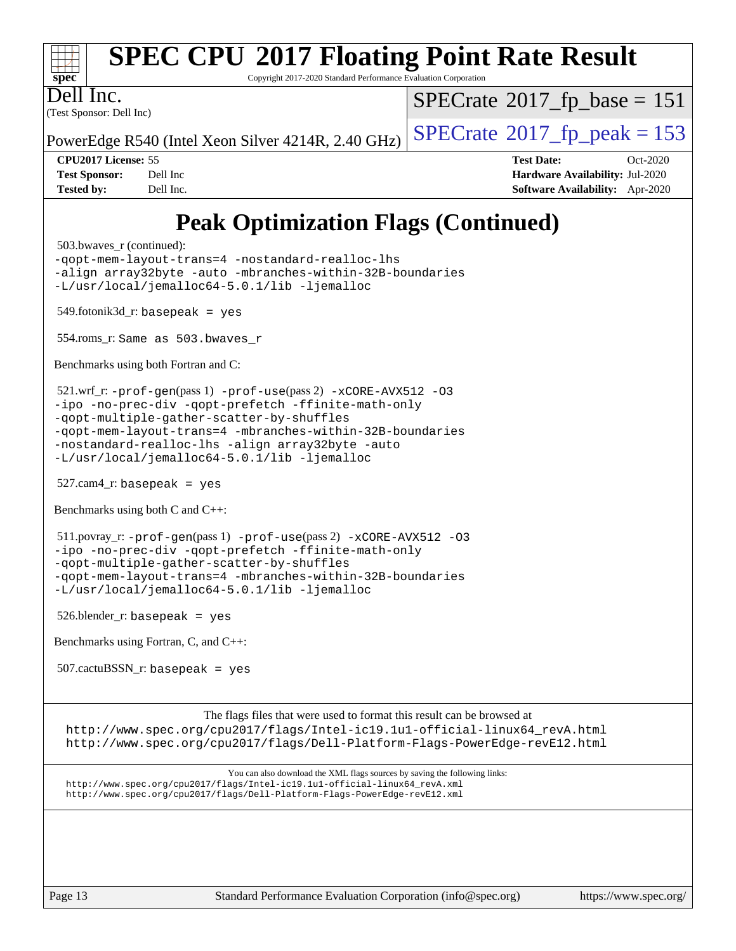

[The flags files that were used to format this result can be browsed at](tmsearch) [http://www.spec.org/cpu2017/flags/Intel-ic19.1u1-official-linux64\\_revA.html](http://www.spec.org/cpu2017/flags/Intel-ic19.1u1-official-linux64_revA.html) <http://www.spec.org/cpu2017/flags/Dell-Platform-Flags-PowerEdge-revE12.html>

[You can also download the XML flags sources by saving the following links:](tmsearch) [http://www.spec.org/cpu2017/flags/Intel-ic19.1u1-official-linux64\\_revA.xml](http://www.spec.org/cpu2017/flags/Intel-ic19.1u1-official-linux64_revA.xml) <http://www.spec.org/cpu2017/flags/Dell-Platform-Flags-PowerEdge-revE12.xml>